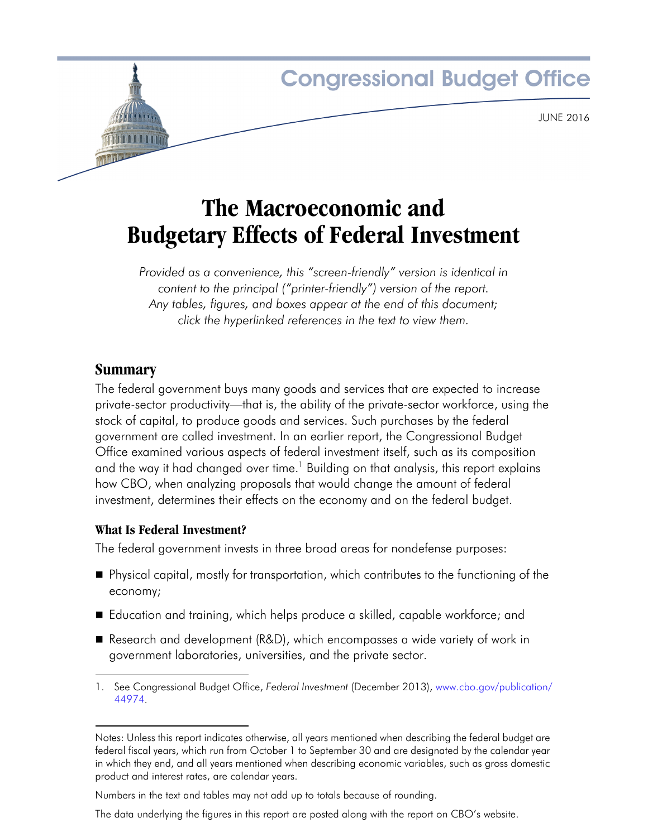

# **The Macroeconomic and Budgetary Effects of Federal Investment**

*Provided as a convenience, this "screen-friendly" version is identical in content to the principal ("printer-friendly") version of the report. Any tables, figures, and boxes appear at the end of this document; click the hyperlinked references in the text to view them.*

# **Summary**

The federal government buys many goods and services that are expected to increase private-sector productivity—that is, the ability of the private-sector workforce, using the stock of capital, to produce goods and services. Such purchases by the federal government are called investment. In an earlier report, the Congressional Budget Office examined various aspects of federal investment itself, such as its composition and the way it had changed over time.<sup>1</sup> Building on that analysis, this report explains how CBO, when analyzing proposals that would change the amount of federal investment, determines their effects on the economy and on the federal budget.

# **What Is Federal Investment?**

The federal government invests in three broad areas for nondefense purposes:

- Physical capital, mostly for transportation, which contributes to the functioning of the economy;
- Education and training, which helps produce a skilled, capable workforce; and
- Research and development (R&D), which encompasses a wide variety of work in government laboratories, universities, and the private sector.

The data underlying the figures in this report are posted along with the report on CBO's website.

<sup>1.</sup> See Congressional Budget Office, *Federal Investment* (December 2013), [www.cbo.gov/publication/](http://www.cbo.gov/publication/44974) [44974](http://www.cbo.gov/publication/44974).

Notes: Unless this report indicates otherwise, all years mentioned when describing the federal budget are federal fiscal years, which run from October 1 to September 30 and are designated by the calendar year in which they end, and all years mentioned when describing economic variables, such as gross domestic product and interest rates, are calendar years.

Numbers in the text and tables may not add up to totals because of rounding.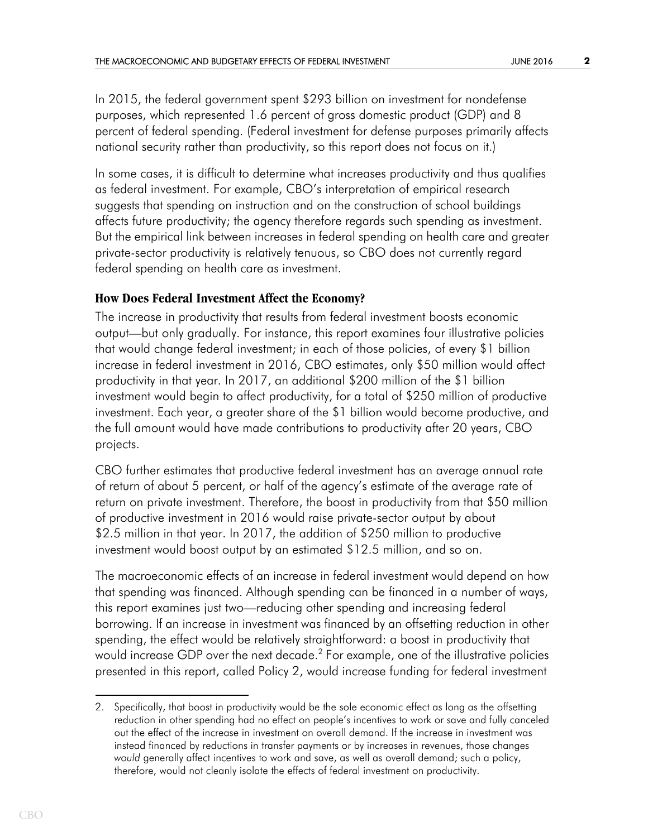In 2015, the federal government spent \$293 billion on investment for nondefense purposes, which represented 1.6 percent of gross domestic product (GDP) and 8 percent of federal spending. (Federal investment for defense purposes primarily affects national security rather than productivity, so this report does not focus on it.)

In some cases, it is difficult to determine what increases productivity and thus qualifies as federal investment. For example, CBO's interpretation of empirical research suggests that spending on instruction and on the construction of school buildings affects future productivity; the agency therefore regards such spending as investment. But the empirical link between increases in federal spending on health care and greater private-sector productivity is relatively tenuous, so CBO does not currently regard federal spending on health care as investment.

## **How Does Federal Investment Affect the Economy?**

The increase in productivity that results from federal investment boosts economic output—but only gradually. For instance, this report examines four illustrative policies that would change federal investment; in each of those policies, of every \$1 billion increase in federal investment in 2016, CBO estimates, only \$50 million would affect productivity in that year. In 2017, an additional \$200 million of the \$1 billion investment would begin to affect productivity, for a total of \$250 million of productive investment. Each year, a greater share of the \$1 billion would become productive, and the full amount would have made contributions to productivity after 20 years, CBO projects.

CBO further estimates that productive federal investment has an average annual rate of return of about 5 percent, or half of the agency's estimate of the average rate of return on private investment. Therefore, the boost in productivity from that \$50 million of productive investment in 2016 would raise private-sector output by about \$2.5 million in that year. In 2017, the addition of \$250 million to productive investment would boost output by an estimated \$12.5 million, and so on.

The macroeconomic effects of an increase in federal investment would depend on how that spending was financed. Although spending can be financed in a number of ways, this report examines just two—reducing other spending and increasing federal borrowing. If an increase in investment was financed by an offsetting reduction in other spending, the effect would be relatively straightforward: a boost in productivity that would increase GDP over the next decade.<sup>2</sup> For example, one of the illustrative policies presented in this report, called Policy 2, would increase funding for federal investment

<sup>2.</sup> Specifically, that boost in productivity would be the sole economic effect as long as the offsetting reduction in other spending had no effect on people's incentives to work or save and fully canceled out the effect of the increase in investment on overall demand. If the increase in investment was instead financed by reductions in transfer payments or by increases in revenues, those changes *would* generally affect incentives to work and save, as well as overall demand; such a policy, therefore, would not cleanly isolate the effects of federal investment on productivity.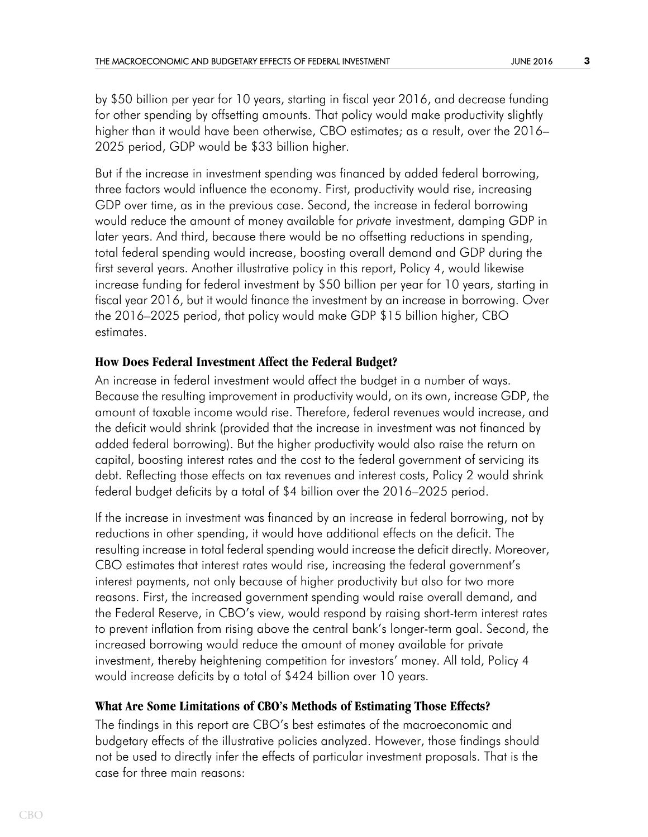by \$50 billion per year for 10 years, starting in fiscal year 2016, and decrease funding for other spending by offsetting amounts. That policy would make productivity slightly higher than it would have been otherwise, CBO estimates; as a result, over the 2016– 2025 period, GDP would be \$33 billion higher.

But if the increase in investment spending was financed by added federal borrowing, three factors would influence the economy. First, productivity would rise, increasing GDP over time, as in the previous case. Second, the increase in federal borrowing would reduce the amount of money available for *private* investment, damping GDP in later years. And third, because there would be no offsetting reductions in spending, total federal spending would increase, boosting overall demand and GDP during the first several years. Another illustrative policy in this report, Policy 4, would likewise increase funding for federal investment by \$50 billion per year for 10 years, starting in fiscal year 2016, but it would finance the investment by an increase in borrowing. Over the 2016–2025 period, that policy would make GDP \$15 billion higher, CBO estimates.

### **How Does Federal Investment Affect the Federal Budget?**

An increase in federal investment would affect the budget in a number of ways. Because the resulting improvement in productivity would, on its own, increase GDP, the amount of taxable income would rise. Therefore, federal revenues would increase, and the deficit would shrink (provided that the increase in investment was not financed by added federal borrowing). But the higher productivity would also raise the return on capital, boosting interest rates and the cost to the federal government of servicing its debt. Reflecting those effects on tax revenues and interest costs, Policy 2 would shrink federal budget deficits by a total of \$4 billion over the 2016–2025 period.

If the increase in investment was financed by an increase in federal borrowing, not by reductions in other spending, it would have additional effects on the deficit. The resulting increase in total federal spending would increase the deficit directly. Moreover, CBO estimates that interest rates would rise, increasing the federal government's interest payments, not only because of higher productivity but also for two more reasons. First, the increased government spending would raise overall demand, and the Federal Reserve, in CBO's view, would respond by raising short-term interest rates to prevent inflation from rising above the central bank's longer-term goal. Second, the increased borrowing would reduce the amount of money available for private investment, thereby heightening competition for investors' money. All told, Policy 4 would increase deficits by a total of \$424 billion over 10 years.

### **What Are Some Limitations of CBO's Methods of Estimating Those Effects?**

The findings in this report are CBO's best estimates of the macroeconomic and budgetary effects of the illustrative policies analyzed. However, those findings should not be used to directly infer the effects of particular investment proposals. That is the case for three main reasons: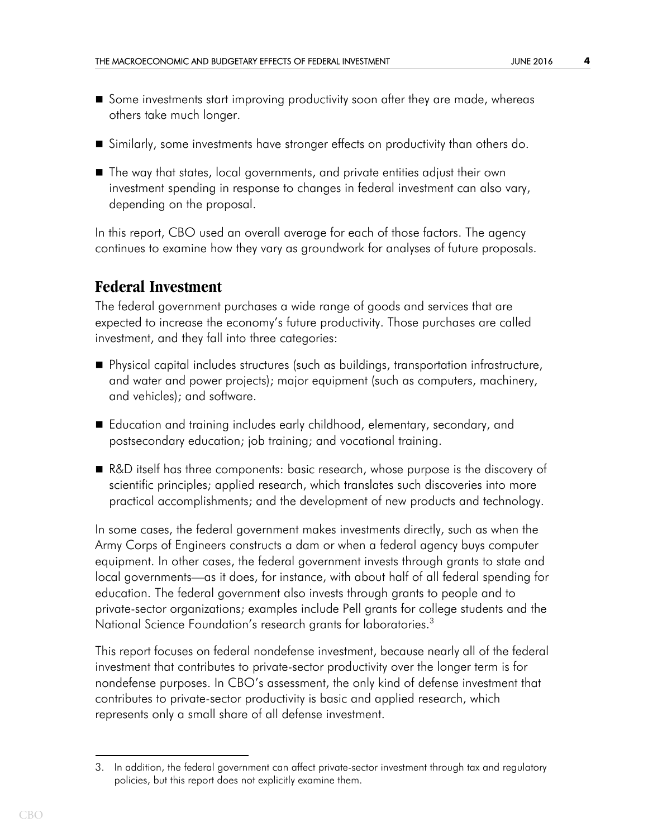- **Some investments start improving productivity soon after they are made, whereas** others take much longer.
- Similarly, some investments have stronger effects on productivity than others do.
- The way that states, local governments, and private entities adjust their own investment spending in response to changes in federal investment can also vary, depending on the proposal.

In this report, CBO used an overall average for each of those factors. The agency continues to examine how they vary as groundwork for analyses of future proposals.

# **Federal Investment**

The federal government purchases a wide range of goods and services that are expected to increase the economy's future productivity. Those purchases are called investment, and they fall into three categories:

- Physical capital includes structures (such as buildings, transportation infrastructure, and water and power projects); major equipment (such as computers, machinery, and vehicles); and software.
- Education and training includes early childhood, elementary, secondary, and postsecondary education; job training; and vocational training.
- R&D itself has three components: basic research, whose purpose is the discovery of scientific principles; applied research, which translates such discoveries into more practical accomplishments; and the development of new products and technology.

In some cases, the federal government makes investments directly, such as when the Army Corps of Engineers constructs a dam or when a federal agency buys computer equipment. In other cases, the federal government invests through grants to state and local governments—as it does, for instance, with about half of all federal spending for education. The federal government also invests through grants to people and to private-sector organizations; examples include Pell grants for college students and the National Science Foundation's research grants for laboratories.<sup>3</sup>

This report focuses on federal nondefense investment, because nearly all of the federal investment that contributes to private-sector productivity over the longer term is for nondefense purposes. In CBO's assessment, the only kind of defense investment that contributes to private-sector productivity is basic and applied research, which represents only a small share of all defense investment.

<sup>3.</sup> In addition, the federal government can affect private-sector investment through tax and regulatory policies, but this report does not explicitly examine them.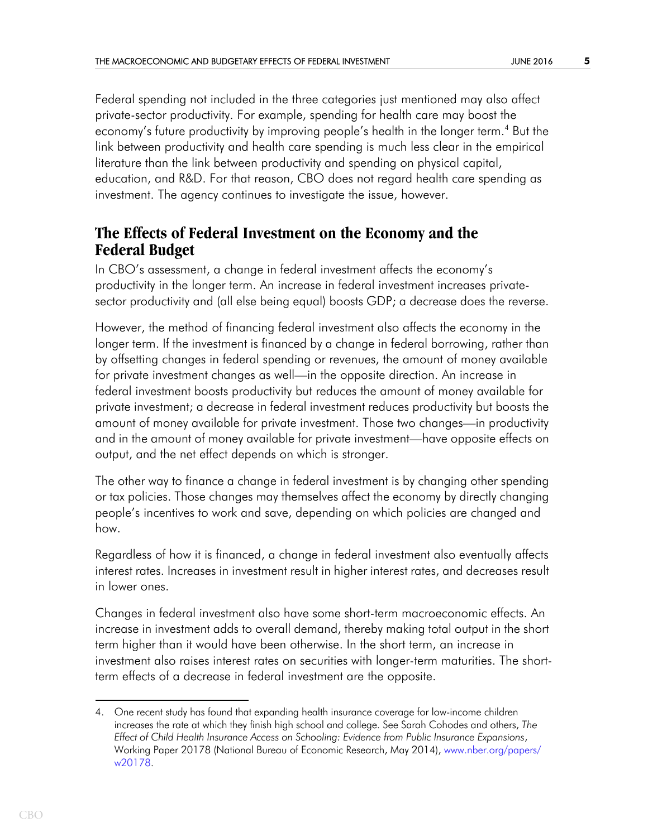Federal spending not included in the three categories just mentioned may also affect private-sector productivity. For example, spending for health care may boost the economy's future productivity by improving people's health in the longer term.<sup>4</sup> But the link between productivity and health care spending is much less clear in the empirical literature than the link between productivity and spending on physical capital, education, and R&D. For that reason, CBO does not regard health care spending as investment. The agency continues to investigate the issue, however.

# **The Effects of Federal Investment on the Economy and the Federal Budget**

In CBO's assessment, a change in federal investment affects the economy's productivity in the longer term. An increase in federal investment increases privatesector productivity and (all else being equal) boosts GDP; a decrease does the reverse.

However, the method of financing federal investment also affects the economy in the longer term. If the investment is financed by a change in federal borrowing, rather than by offsetting changes in federal spending or revenues, the amount of money available for private investment changes as well—in the opposite direction. An increase in federal investment boosts productivity but reduces the amount of money available for private investment; a decrease in federal investment reduces productivity but boosts the amount of money available for private investment. Those two changes—in productivity and in the amount of money available for private investment—have opposite effects on output, and the net effect depends on which is stronger.

The other way to finance a change in federal investment is by changing other spending or tax policies. Those changes may themselves affect the economy by directly changing people's incentives to work and save, depending on which policies are changed and how.

Regardless of how it is financed, a change in federal investment also eventually affects interest rates. Increases in investment result in higher interest rates, and decreases result in lower ones.

Changes in federal investment also have some short-term macroeconomic effects. An increase in investment adds to overall demand, thereby making total output in the short term higher than it would have been otherwise. In the short term, an increase in investment also raises interest rates on securities with longer-term maturities. The shortterm effects of a decrease in federal investment are the opposite.

<sup>4.</sup> One recent study has found that expanding health insurance coverage for low-income children increases the rate at which they finish high school and college. See Sarah Cohodes and others, *The Effect of Child Health Insurance Access on Schooling: Evidence from Public Insurance Expansions*, Working Paper 20178 (National Bureau of Economic Research, May 2014), [www.nber.org/papers/](http://www.nber.org/papers/w20178) [w20178](http://www.nber.org/papers/w20178).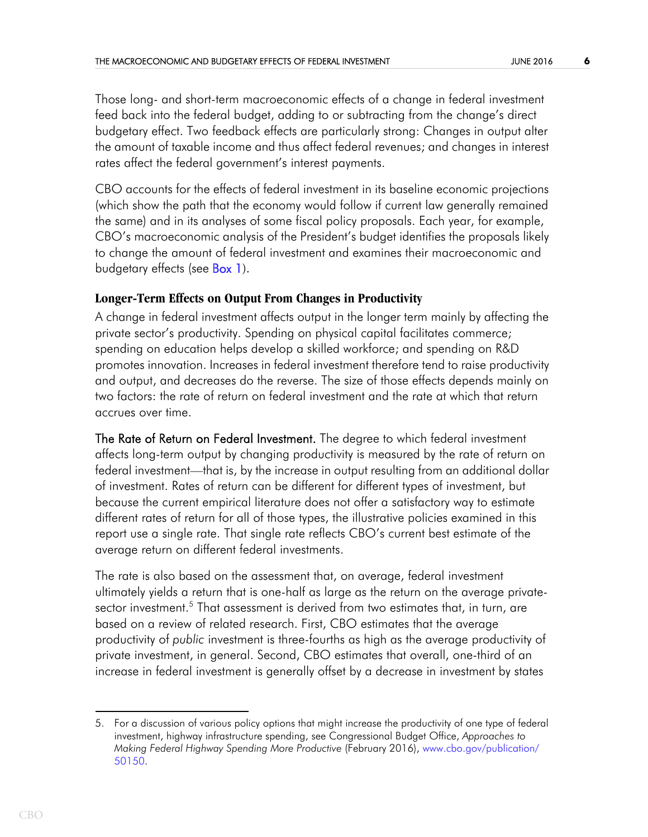Those long- and short-term macroeconomic effects of a change in federal investment feed back into the federal budget, adding to or subtracting from the change's direct budgetary effect. Two feedback effects are particularly strong: Changes in output alter the amount of taxable income and thus affect federal revenues; and changes in interest rates affect the federal government's interest payments.

CBO accounts for the effects of federal investment in its baseline economic projections (which show the path that the economy would follow if current law generally remained the same) and in its analyses of some fiscal policy proposals. Each year, for example, CBO's macroeconomic analysis of the President's budget identifies the proposals likely to change the amount of federal investment and examines their macroeconomic and budgetary effects (see [Box 1](#page-22-0)).

## <span id="page-5-0"></span>**Longer-Term Effects on Output From Changes in Productivity**

A change in federal investment affects output in the longer term mainly by affecting the private sector's productivity. Spending on physical capital facilitates commerce; spending on education helps develop a skilled workforce; and spending on R&D promotes innovation. Increases in federal investment therefore tend to raise productivity and output, and decreases do the reverse. The size of those effects depends mainly on two factors: the rate of return on federal investment and the rate at which that return accrues over time.

The Rate of Return on Federal Investment. The degree to which federal investment affects long-term output by changing productivity is measured by the rate of return on federal investment—that is, by the increase in output resulting from an additional dollar of investment. Rates of return can be different for different types of investment, but because the current empirical literature does not offer a satisfactory way to estimate different rates of return for all of those types, the illustrative policies examined in this report use a single rate. That single rate reflects CBO's current best estimate of the average return on different federal investments.

The rate is also based on the assessment that, on average, federal investment ultimately yields a return that is one-half as large as the return on the average privatesector investment.<sup>5</sup> That assessment is derived from two estimates that, in turn, are based on a review of related research. First, CBO estimates that the average productivity of *public* investment is three-fourths as high as the average productivity of private investment, in general. Second, CBO estimates that overall, one-third of an increase in federal investment is generally offset by a decrease in investment by states

<sup>5.</sup> For a discussion of various policy options that might increase the productivity of one type of federal investment, highway infrastructure spending, see Congressional Budget Office, *Approaches to Making Federal Highway Spending More Productive* (February 2016), [www.cbo.gov/publication/](http://www.cbo.gov/publication/50150) [50150.](http://www.cbo.gov/publication/50150)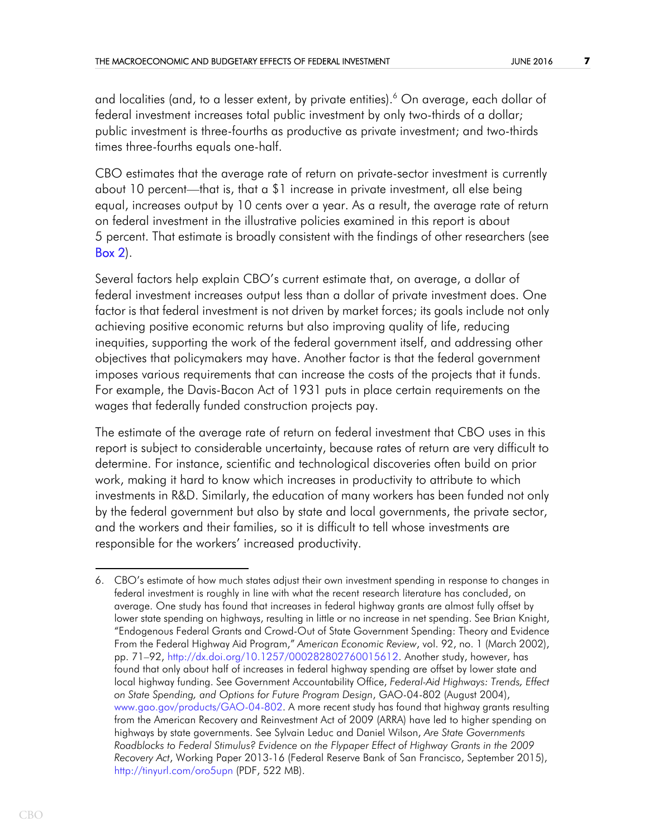and localities (and, to a lesser extent, by private entities).<sup>6</sup> On average, each dollar of federal investment increases total public investment by only two-thirds of a dollar; public investment is three-fourths as productive as private investment; and two-thirds times three-fourths equals one-half.

CBO estimates that the average rate of return on private-sector investment is currently about 10 percent—that is, that a \$1 increase in private investment, all else being equal, increases output by 10 cents over a year. As a result, the average rate of return on federal investment in the illustrative policies examined in this report is about 5 percent. That estimate is broadly consistent with the findings of other researchers (see [Box 2](#page-23-0)).

<span id="page-6-0"></span>Several factors help explain CBO's current estimate that, on average, a dollar of federal investment increases output less than a dollar of private investment does. One factor is that federal investment is not driven by market forces; its goals include not only achieving positive economic returns but also improving quality of life, reducing inequities, supporting the work of the federal government itself, and addressing other objectives that policymakers may have. Another factor is that the federal government imposes various requirements that can increase the costs of the projects that it funds. For example, the Davis-Bacon Act of 1931 puts in place certain requirements on the wages that federally funded construction projects pay.

The estimate of the average rate of return on federal investment that CBO uses in this report is subject to considerable uncertainty, because rates of return are very difficult to determine. For instance, scientific and technological discoveries often build on prior work, making it hard to know which increases in productivity to attribute to which investments in R&D. Similarly, the education of many workers has been funded not only by the federal government but also by state and local governments, the private sector, and the workers and their families, so it is difficult to tell whose investments are responsible for the workers' increased productivity.

<sup>6.</sup> CBO's estimate of how much states adjust their own investment spending in response to changes in federal investment is roughly in line with what the recent research literature has concluded, on average. One study has found that increases in federal highway grants are almost fully offset by lower state spending on highways, resulting in little or no increase in net spending. See Brian Knight, "Endogenous Federal Grants and Crowd-Out of State Government Spending: Theory and Evidence From the Federal Highway Aid Program," *American Economic Review*, vol. 92, no. 1 (March 2002), pp. 71–92, [http://dx.doi.org/10.1257/000282802760015612.](http://dx.doi.org/10.1257/000282802760015612) Another study, however, has found that only about half of increases in federal highway spending are offset by lower state and local highway funding. See Government Accountability Office, *Federal-Aid Highways: Trends, Effect on State Spending, and Options for Future Program Design*, GAO-04-802 (August 2004), [www.gao.gov/products/GAO-04-802](http://www.gao.gov/products/GAO-04-802). A more recent study has found that highway grants resulting from the American Recovery and Reinvestment Act of 2009 (ARRA) have led to higher spending on highways by state governments. See Sylvain Leduc and Daniel Wilson, *Are State Governments Roadblocks to Federal Stimulus? Evidence on the Flypaper Effect of Highway Grants in the 2009 Recovery Act*, Working Paper 2013-16 (Federal Reserve Bank of San Francisco, September 2015), <http://tinyurl.com/oro5upn> (PDF, 522 MB).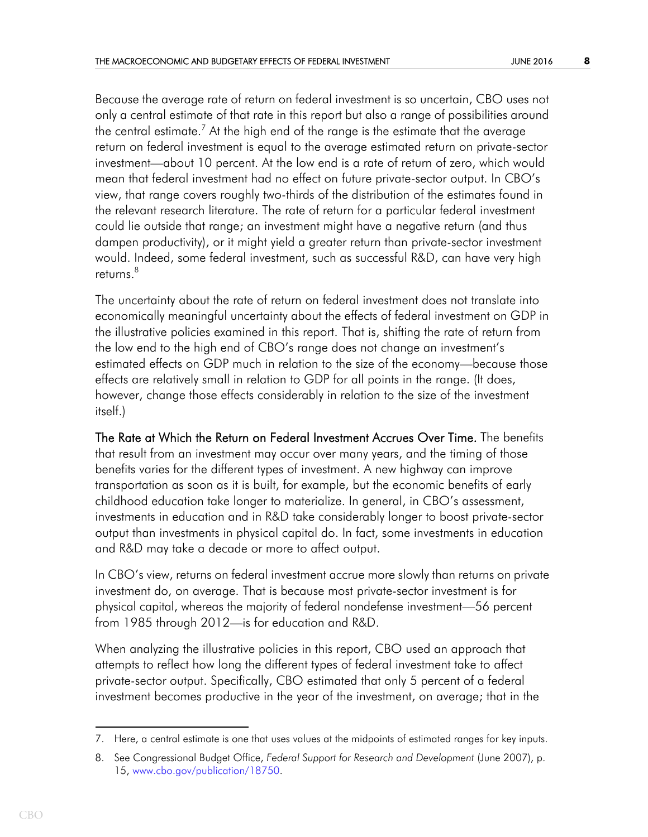Because the average rate of return on federal investment is so uncertain, CBO uses not only a central estimate of that rate in this report but also a range of possibilities around the central estimate. $^7$  At the high end of the range is the estimate that the average return on federal investment is equal to the average estimated return on private-sector investment—about 10 percent. At the low end is a rate of return of zero, which would mean that federal investment had no effect on future private-sector output. In CBO's view, that range covers roughly two-thirds of the distribution of the estimates found in the relevant research literature. The rate of return for a particular federal investment could lie outside that range; an investment might have a negative return (and thus dampen productivity), or it might yield a greater return than private-sector investment would. Indeed, some federal investment, such as successful R&D, can have very high returns.<sup>8</sup>

The uncertainty about the rate of return on federal investment does not translate into economically meaningful uncertainty about the effects of federal investment on GDP in the illustrative policies examined in this report. That is, shifting the rate of return from the low end to the high end of CBO's range does not change an investment's estimated effects on GDP much in relation to the size of the economy—because those effects are relatively small in relation to GDP for all points in the range. (It does, however, change those effects considerably in relation to the size of the investment itself.)

The Rate at Which the Return on Federal Investment Accrues Over Time. The benefits that result from an investment may occur over many years, and the timing of those benefits varies for the different types of investment. A new highway can improve transportation as soon as it is built, for example, but the economic benefits of early childhood education take longer to materialize. In general, in CBO's assessment, investments in education and in R&D take considerably longer to boost private-sector output than investments in physical capital do. In fact, some investments in education and R&D may take a decade or more to affect output.

In CBO's view, returns on federal investment accrue more slowly than returns on private investment do, on average. That is because most private-sector investment is for physical capital, whereas the majority of federal nondefense investment—56 percent from 1985 through 2012—is for education and R&D.

When analyzing the illustrative policies in this report, CBO used an approach that attempts to reflect how long the different types of federal investment take to affect private-sector output. Specifically, CBO estimated that only 5 percent of a federal investment becomes productive in the year of the investment, on average; that in the

<sup>7.</sup> Here, a central estimate is one that uses values at the midpoints of estimated ranges for key inputs.

<sup>8.</sup> See Congressional Budget Office, *Federal Support for Research and Development* (June 2007), p. 15, [www.cbo.gov/publication/18750](http://www.cbo.gov/publication/18750).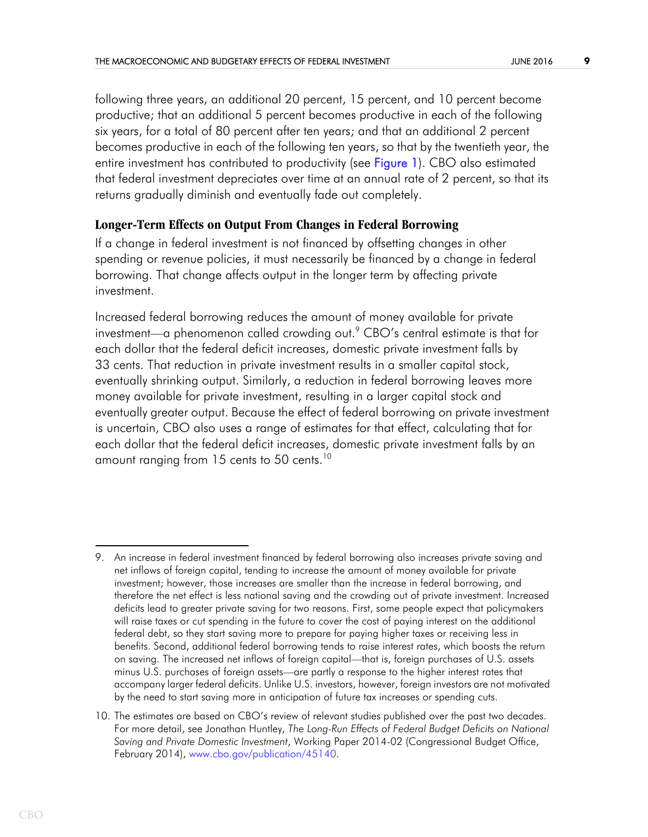<span id="page-8-0"></span>following three years, an additional 20 percent, 15 percent, and 10 percent become productive; that an additional 5 percent becomes productive in each of the following six years, for a total of 80 percent after ten years; and that an additional 2 percent becomes productive in each of the following ten years, so that by the twentieth year, the entire investment has contributed to productivity (see [Figure 1\)](#page-25-0). CBO also estimated that federal investment depreciates over time at an annual rate of 2 percent, so that its returns gradually diminish and eventually fade out completely.

### **Longer-Term Effects on Output From Changes in Federal Borrowing**

If a change in federal investment is not financed by offsetting changes in other spending or revenue policies, it must necessarily be financed by a change in federal borrowing. That change affects output in the longer term by affecting private investment.

Increased federal borrowing reduces the amount of money available for private investment—a phenomenon called crowding out. $\degree$  CBO's central estimate is that for each dollar that the federal deficit increases, domestic private investment falls by 33 cents. That reduction in private investment results in a smaller capital stock, eventually shrinking output. Similarly, a reduction in federal borrowing leaves more money available for private investment, resulting in a larger capital stock and eventually greater output. Because the effect of federal borrowing on private investment is uncertain, CBO also uses a range of estimates for that effect, calculating that for each dollar that the federal deficit increases, domestic private investment falls by an amount ranging from 15 cents to 50 cents.<sup>10</sup>

<sup>9.</sup> An increase in federal investment financed by federal borrowing also increases private saving and net inflows of foreign capital, tending to increase the amount of money available for private investment; however, those increases are smaller than the increase in federal borrowing, and therefore the net effect is less national saving and the crowding out of private investment. Increased deficits lead to greater private saving for two reasons. First, some people expect that policymakers will raise taxes or cut spending in the future to cover the cost of paying interest on the additional federal debt, so they start saving more to prepare for paying higher taxes or receiving less in benefits. Second, additional federal borrowing tends to raise interest rates, which boosts the return on saving. The increased net inflows of foreign capital—that is, foreign purchases of U.S. assets minus U.S. purchases of foreign assets—are partly a response to the higher interest rates that accompany larger federal deficits. Unlike U.S. investors, however, foreign investors are not motivated by the need to start saving more in anticipation of future tax increases or spending cuts.

<sup>10.</sup> The estimates are based on CBO's review of relevant studies published over the past two decades. For more detail, see Jonathan Huntley, *The Long-Run Effects of Federal Budget Deficits on National Saving and Private Domestic Investment*, Working Paper 2014-02 (Congressional Budget Office, February 2014), [www.cbo.gov/publication/45140.](http://www.cbo.gov/publication/45140)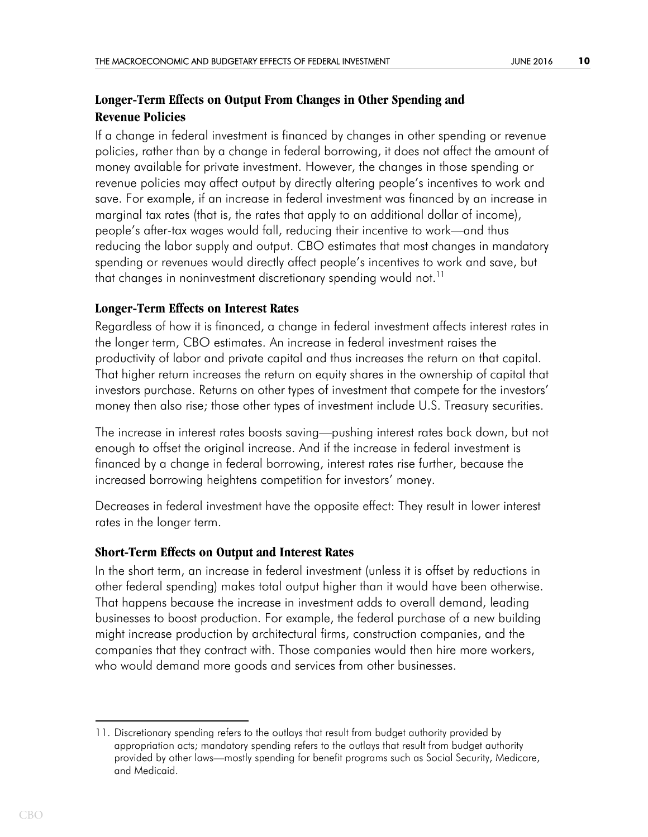# **Longer-Term Effects on Output From Changes in Other Spending and Revenue Policies**

If a change in federal investment is financed by changes in other spending or revenue policies, rather than by a change in federal borrowing, it does not affect the amount of money available for private investment. However, the changes in those spending or revenue policies may affect output by directly altering people's incentives to work and save. For example, if an increase in federal investment was financed by an increase in marginal tax rates (that is, the rates that apply to an additional dollar of income), people's after-tax wages would fall, reducing their incentive to work—and thus reducing the labor supply and output. CBO estimates that most changes in mandatory spending or revenues would directly affect people's incentives to work and save, but that changes in noninvestment discretionary spending would not.<sup>11</sup>

## **Longer-Term Effects on Interest Rates**

Regardless of how it is financed, a change in federal investment affects interest rates in the longer term, CBO estimates. An increase in federal investment raises the productivity of labor and private capital and thus increases the return on that capital. That higher return increases the return on equity shares in the ownership of capital that investors purchase. Returns on other types of investment that compete for the investors' money then also rise; those other types of investment include U.S. Treasury securities.

The increase in interest rates boosts saving—pushing interest rates back down, but not enough to offset the original increase. And if the increase in federal investment is financed by a change in federal borrowing, interest rates rise further, because the increased borrowing heightens competition for investors' money.

Decreases in federal investment have the opposite effect: They result in lower interest rates in the longer term.

### **Short-Term Effects on Output and Interest Rates**

In the short term, an increase in federal investment (unless it is offset by reductions in other federal spending) makes total output higher than it would have been otherwise. That happens because the increase in investment adds to overall demand, leading businesses to boost production. For example, the federal purchase of a new building might increase production by architectural firms, construction companies, and the companies that they contract with. Those companies would then hire more workers, who would demand more goods and services from other businesses.

<sup>11.</sup> Discretionary spending refers to the outlays that result from budget authority provided by appropriation acts; mandatory spending refers to the outlays that result from budget authority provided by other laws—mostly spending for benefit programs such as Social Security, Medicare, and Medicaid.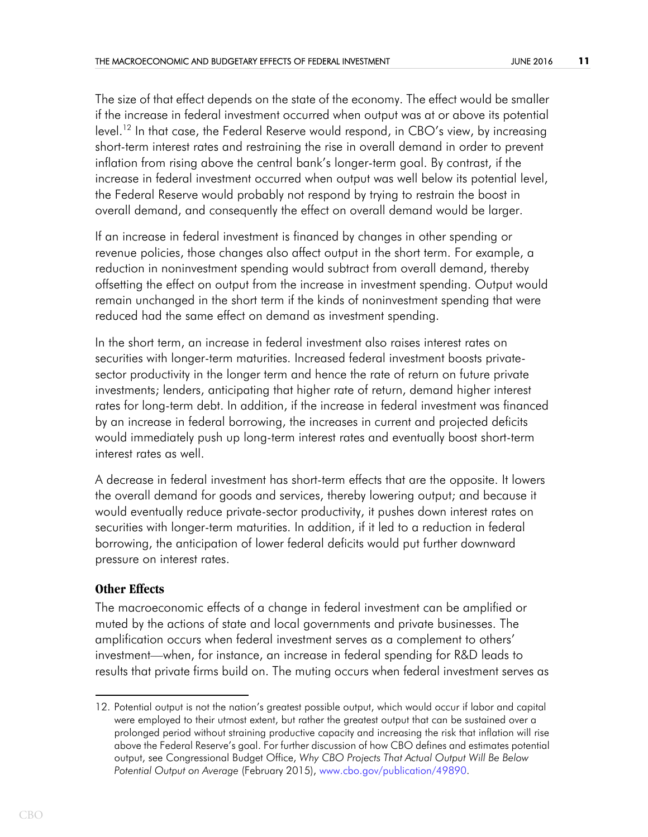The size of that effect depends on the state of the economy. The effect would be smaller if the increase in federal investment occurred when output was at or above its potential level.<sup>12</sup> In that case, the Federal Reserve would respond, in CBO's view, by increasing short-term interest rates and restraining the rise in overall demand in order to prevent inflation from rising above the central bank's longer-term goal. By contrast, if the increase in federal investment occurred when output was well below its potential level, the Federal Reserve would probably not respond by trying to restrain the boost in overall demand, and consequently the effect on overall demand would be larger.

If an increase in federal investment is financed by changes in other spending or revenue policies, those changes also affect output in the short term. For example, a reduction in noninvestment spending would subtract from overall demand, thereby offsetting the effect on output from the increase in investment spending. Output would remain unchanged in the short term if the kinds of noninvestment spending that were reduced had the same effect on demand as investment spending.

In the short term, an increase in federal investment also raises interest rates on securities with longer-term maturities. Increased federal investment boosts privatesector productivity in the longer term and hence the rate of return on future private investments; lenders, anticipating that higher rate of return, demand higher interest rates for long-term debt. In addition, if the increase in federal investment was financed by an increase in federal borrowing, the increases in current and projected deficits would immediately push up long-term interest rates and eventually boost short-term interest rates as well.

A decrease in federal investment has short-term effects that are the opposite. It lowers the overall demand for goods and services, thereby lowering output; and because it would eventually reduce private-sector productivity, it pushes down interest rates on securities with longer-term maturities. In addition, if it led to a reduction in federal borrowing, the anticipation of lower federal deficits would put further downward pressure on interest rates.

### **Other Effects**

The macroeconomic effects of a change in federal investment can be amplified or muted by the actions of state and local governments and private businesses. The amplification occurs when federal investment serves as a complement to others' investment—when, for instance, an increase in federal spending for R&D leads to results that private firms build on. The muting occurs when federal investment serves as

<sup>12.</sup> Potential output is not the nation's greatest possible output, which would occur if labor and capital were employed to their utmost extent, but rather the greatest output that can be sustained over a prolonged period without straining productive capacity and increasing the risk that inflation will rise above the Federal Reserve's goal. For further discussion of how CBO defines and estimates potential output, see Congressional Budget Office, *Why CBO Projects That Actual Output Will Be Below Potential Output on Average* (February 2015), [www.cbo.gov/publication/49890.](http://www.cbo.gov/publication/49890)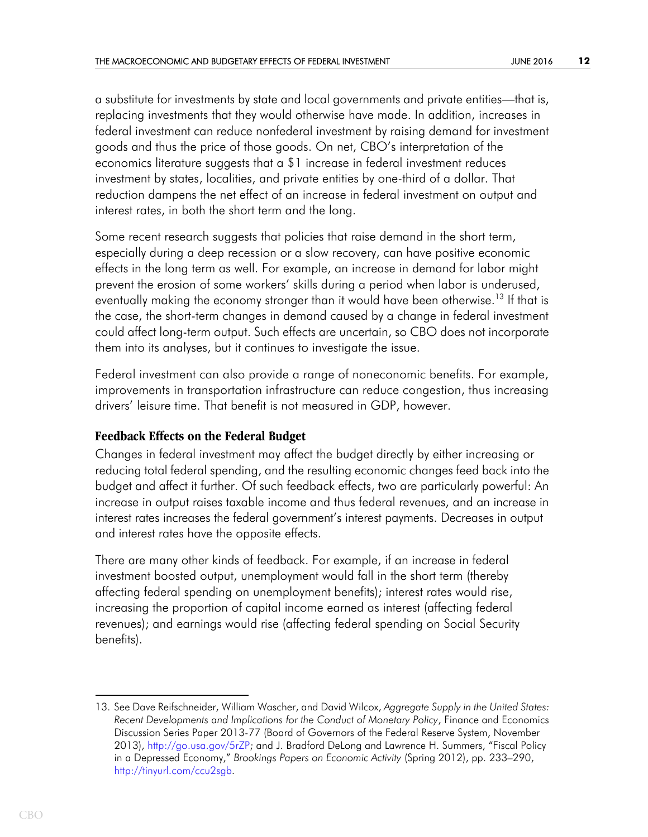a substitute for investments by state and local governments and private entities—that is, replacing investments that they would otherwise have made. In addition, increases in federal investment can reduce nonfederal investment by raising demand for investment goods and thus the price of those goods. On net, CBO's interpretation of the economics literature suggests that a \$1 increase in federal investment reduces investment by states, localities, and private entities by one-third of a dollar. That reduction dampens the net effect of an increase in federal investment on output and interest rates, in both the short term and the long.

Some recent research suggests that policies that raise demand in the short term, especially during a deep recession or a slow recovery, can have positive economic effects in the long term as well. For example, an increase in demand for labor might prevent the erosion of some workers' skills during a period when labor is underused, eventually making the economy stronger than it would have been otherwise.<sup>13</sup> If that is the case, the short-term changes in demand caused by a change in federal investment could affect long-term output. Such effects are uncertain, so CBO does not incorporate them into its analyses, but it continues to investigate the issue.

Federal investment can also provide a range of noneconomic benefits. For example, improvements in transportation infrastructure can reduce congestion, thus increasing drivers' leisure time. That benefit is not measured in GDP, however.

### **Feedback Effects on the Federal Budget**

Changes in federal investment may affect the budget directly by either increasing or reducing total federal spending, and the resulting economic changes feed back into the budget and affect it further. Of such feedback effects, two are particularly powerful: An increase in output raises taxable income and thus federal revenues, and an increase in interest rates increases the federal government's interest payments. Decreases in output and interest rates have the opposite effects.

There are many other kinds of feedback. For example, if an increase in federal investment boosted output, unemployment would fall in the short term (thereby affecting federal spending on unemployment benefits); interest rates would rise, increasing the proportion of capital income earned as interest (affecting federal revenues); and earnings would rise (affecting federal spending on Social Security benefits).

<sup>13.</sup> See Dave Reifschneider, William Wascher, and David Wilcox, *Aggregate Supply in the United States: Recent Developments and Implications for the Conduct of Monetary Policy*, Finance and Economics Discussion Series Paper 2013-77 (Board of Governors of the Federal Reserve System, November 2013), <http://go.usa.gov/5rZP>; and J. Bradford DeLong and Lawrence H. Summers, "Fiscal Policy in a Depressed Economy," *Brookings Papers on Economic Activity* (Spring 2012), pp. 233–290, <http://tinyurl.com/ccu2sgb>.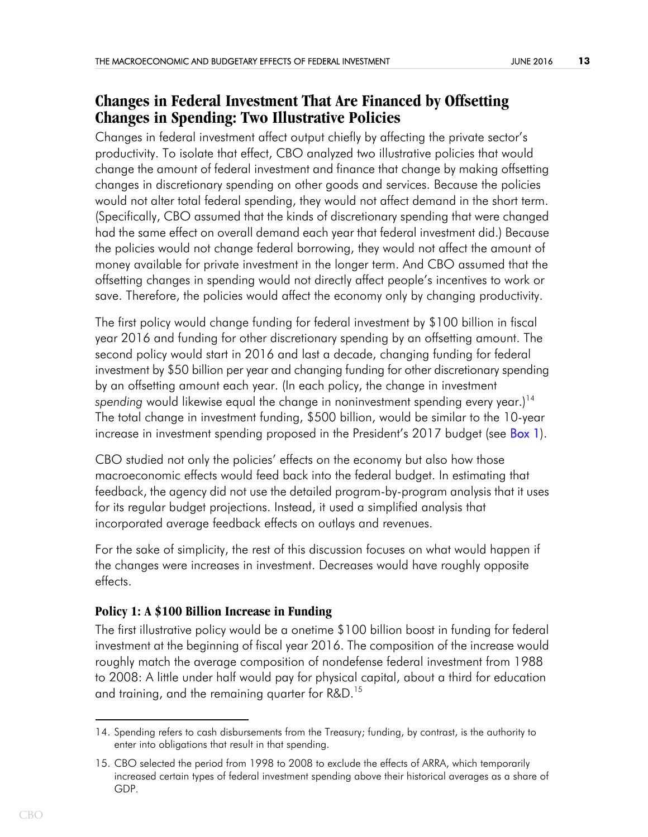# **Changes in Federal Investment That Are Financed by Offsetting Changes in Spending: Two Illustrative Policies**

Changes in federal investment affect output chiefly by affecting the private sector's productivity. To isolate that effect, CBO analyzed two illustrative policies that would change the amount of federal investment and finance that change by making offsetting changes in discretionary spending on other goods and services. Because the policies would not alter total federal spending, they would not affect demand in the short term. (Specifically, CBO assumed that the kinds of discretionary spending that were changed had the same effect on overall demand each year that federal investment did.) Because the policies would not change federal borrowing, they would not affect the amount of money available for private investment in the longer term. And CBO assumed that the offsetting changes in spending would not directly affect people's incentives to work or save. Therefore, the policies would affect the economy only by changing productivity.

The first policy would change funding for federal investment by \$100 billion in fiscal year 2016 and funding for other discretionary spending by an offsetting amount. The second policy would start in 2016 and last a decade, changing funding for federal investment by \$50 billion per year and changing funding for other discretionary spending by an offsetting amount each year. (In each policy, the change in investment spending would likewise equal the change in noninvestment spending every year.)<sup>14</sup> The total change in investment funding, \$500 billion, would be similar to the 10-year increase in investment spending proposed in the President's 2017 budget (see **Box 1**).

<span id="page-12-0"></span>CBO studied not only the policies' effects on the economy but also how those macroeconomic effects would feed back into the federal budget. In estimating that feedback, the agency did not use the detailed program-by-program analysis that it uses for its regular budget projections. Instead, it used a simplified analysis that incorporated average feedback effects on outlays and revenues.

For the sake of simplicity, the rest of this discussion focuses on what would happen if the changes were increases in investment. Decreases would have roughly opposite effects.

### **Policy 1: A \$100 Billion Increase in Funding**

The first illustrative policy would be a onetime \$100 billion boost in funding for federal investment at the beginning of fiscal year 2016. The composition of the increase would roughly match the average composition of nondefense federal investment from 1988 to 2008: A little under half would pay for physical capital, about a third for education and training, and the remaining quarter for R&D.<sup>15</sup>

<sup>14.</sup> Spending refers to cash disbursements from the Treasury; funding, by contrast, is the authority to enter into obligations that result in that spending.

<sup>15.</sup> CBO selected the period from 1998 to 2008 to exclude the effects of ARRA, which temporarily increased certain types of federal investment spending above their historical averages as a share of GDP.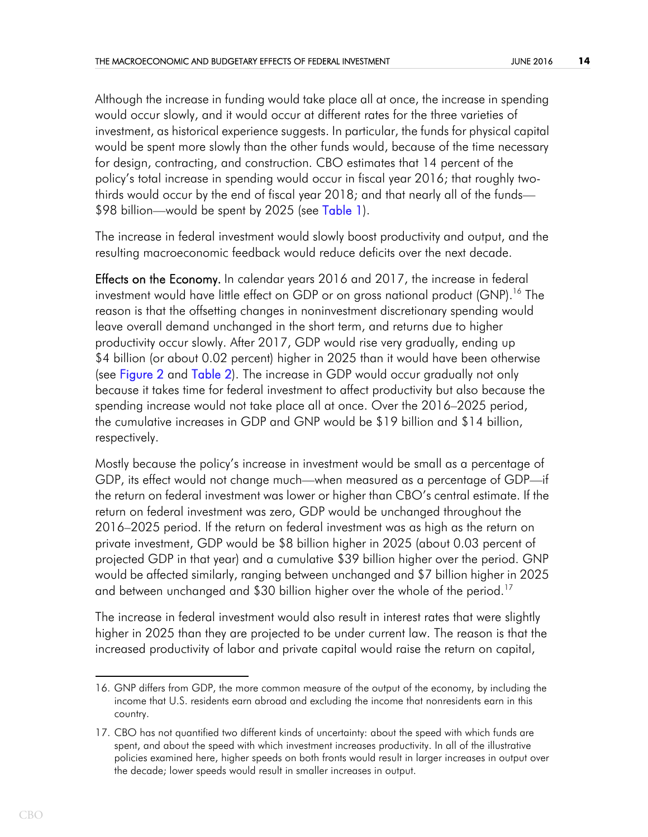Although the increase in funding would take place all at once, the increase in spending would occur slowly, and it would occur at different rates for the three varieties of investment, as historical experience suggests. In particular, the funds for physical capital would be spent more slowly than the other funds would, because of the time necessary for design, contracting, and construction. CBO estimates that 14 percent of the policy's total increase in spending would occur in fiscal year 2016; that roughly twothirds would occur by the end of fiscal year 2018; and that nearly all of the funds— \$98 billion—would be spent by 2025 (see [Table 1\)](#page-25-1).

<span id="page-13-0"></span>The increase in federal investment would slowly boost productivity and output, and the resulting macroeconomic feedback would reduce deficits over the next decade.

<span id="page-13-2"></span><span id="page-13-1"></span>Effects on the Economy. In calendar years 2016 and 2017, the increase in federal investment would have little effect on GDP or on gross national product (GNP).<sup>16</sup> The reason is that the offsetting changes in noninvestment discretionary spending would leave overall demand unchanged in the short term, and returns due to higher productivity occur slowly. After 2017, GDP would rise very gradually, ending up \$4 billion (or about 0.02 percent) higher in 2025 than it would have been otherwise (see [Figure 2](#page-26-0) and [Table 2](#page-27-0)). The increase in GDP would occur gradually not only because it takes time for federal investment to affect productivity but also because the spending increase would not take place all at once. Over the 2016–2025 period, the cumulative increases in GDP and GNP would be \$19 billion and \$14 billion, respectively.

Mostly because the policy's increase in investment would be small as a percentage of GDP, its effect would not change much—when measured as a percentage of GDP—if the return on federal investment was lower or higher than CBO's central estimate. If the return on federal investment was zero, GDP would be unchanged throughout the 2016–2025 period. If the return on federal investment was as high as the return on private investment, GDP would be \$8 billion higher in 2025 (about 0.03 percent of projected GDP in that year) and a cumulative \$39 billion higher over the period. GNP would be affected similarly, ranging between unchanged and \$7 billion higher in 2025 and between unchanged and \$30 billion higher over the whole of the period.<sup>17</sup>

The increase in federal investment would also result in interest rates that were slightly higher in 2025 than they are projected to be under current law. The reason is that the increased productivity of labor and private capital would raise the return on capital,

<sup>16.</sup> GNP differs from GDP, the more common measure of the output of the economy, by including the income that U.S. residents earn abroad and excluding the income that nonresidents earn in this country.

<sup>17.</sup> CBO has not quantified two different kinds of uncertainty: about the speed with which funds are spent, and about the speed with which investment increases productivity. In all of the illustrative policies examined here, higher speeds on both fronts would result in larger increases in output over the decade; lower speeds would result in smaller increases in output.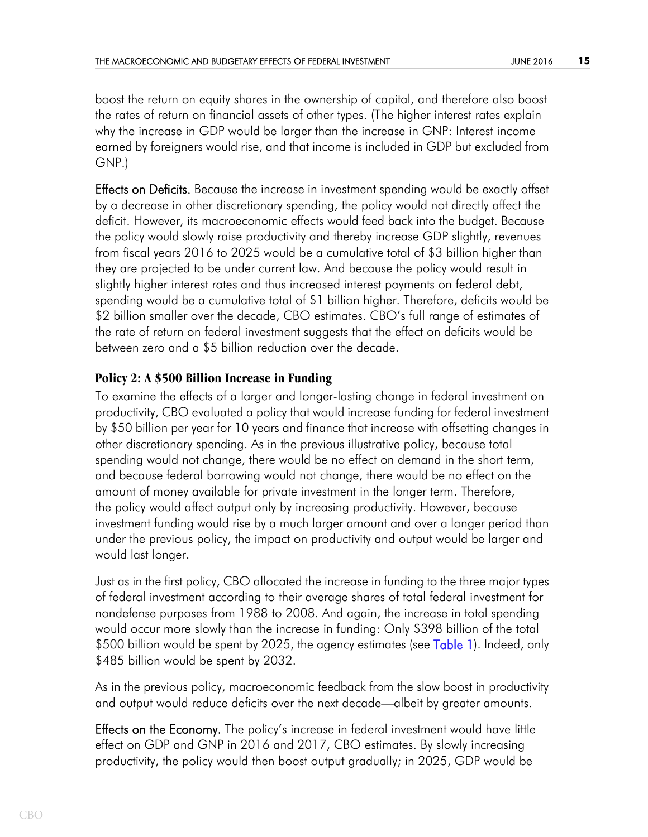boost the return on equity shares in the ownership of capital, and therefore also boost the rates of return on financial assets of other types. (The higher interest rates explain why the increase in GDP would be larger than the increase in GNP: Interest income earned by foreigners would rise, and that income is included in GDP but excluded from GNP.)

**Effects on Deficits.** Because the increase in investment spending would be exactly offset by a decrease in other discretionary spending, the policy would not directly affect the deficit. However, its macroeconomic effects would feed back into the budget. Because the policy would slowly raise productivity and thereby increase GDP slightly, revenues from fiscal years 2016 to 2025 would be a cumulative total of \$3 billion higher than they are projected to be under current law. And because the policy would result in slightly higher interest rates and thus increased interest payments on federal debt, spending would be a cumulative total of \$1 billion higher. Therefore, deficits would be \$2 billion smaller over the decade, CBO estimates. CBO's full range of estimates of the rate of return on federal investment suggests that the effect on deficits would be between zero and a \$5 billion reduction over the decade.

## **Policy 2: A \$500 Billion Increase in Funding**

To examine the effects of a larger and longer-lasting change in federal investment on productivity, CBO evaluated a policy that would increase funding for federal investment by \$50 billion per year for 10 years and finance that increase with offsetting changes in other discretionary spending. As in the previous illustrative policy, because total spending would not change, there would be no effect on demand in the short term, and because federal borrowing would not change, there would be no effect on the amount of money available for private investment in the longer term. Therefore, the policy would affect output only by increasing productivity. However, because investment funding would rise by a much larger amount and over a longer period than under the previous policy, the impact on productivity and output would be larger and would last longer.

<span id="page-14-0"></span>Just as in the first policy, CBO allocated the increase in funding to the three major types of federal investment according to their average shares of total federal investment for nondefense purposes from 1988 to 2008. And again, the increase in total spending would occur more slowly than the increase in funding: Only \$398 billion of the total \$500 billion would be spent by 2025, the agency estimates (see [Table 1\)](#page-25-1). Indeed, only \$485 billion would be spent by 2032.

As in the previous policy, macroeconomic feedback from the slow boost in productivity and output would reduce deficits over the next decade—albeit by greater amounts.

**Effects on the Economy.** The policy's increase in federal investment would have little effect on GDP and GNP in 2016 and 2017, CBO estimates. By slowly increasing productivity, the policy would then boost output gradually; in 2025, GDP would be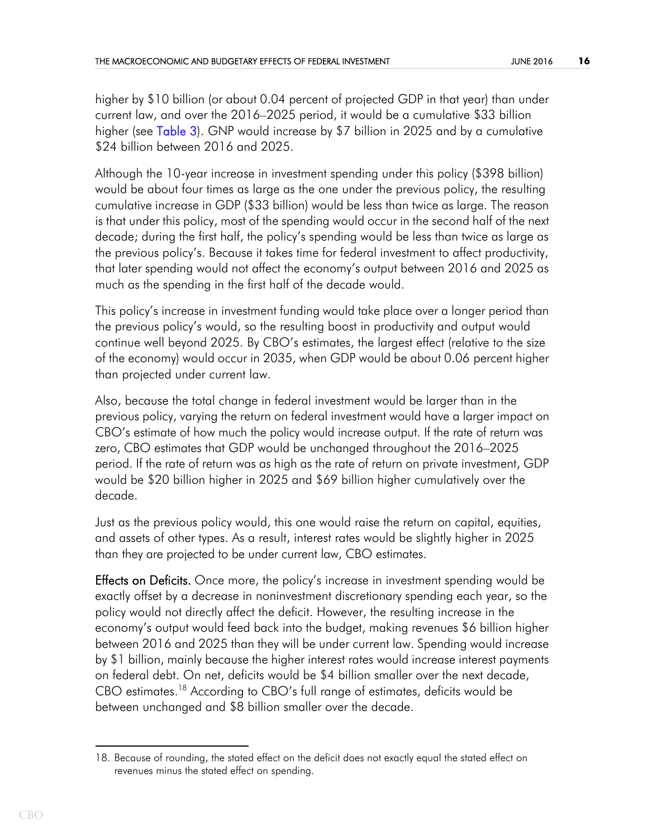<span id="page-15-0"></span>higher by \$10 billion (or about 0.04 percent of projected GDP in that year) than under current law, and over the 2016–2025 period, it would be a cumulative \$33 billion higher (see [Table 3](#page-28-0)). GNP would increase by \$7 billion in 2025 and by a cumulative \$24 billion between 2016 and 2025.

Although the 10-year increase in investment spending under this policy (\$398 billion) would be about four times as large as the one under the previous policy, the resulting cumulative increase in GDP (\$33 billion) would be less than twice as large. The reason is that under this policy, most of the spending would occur in the second half of the next decade; during the first half, the policy's spending would be less than twice as large as the previous policy's. Because it takes time for federal investment to affect productivity, that later spending would not affect the economy's output between 2016 and 2025 as much as the spending in the first half of the decade would.

This policy's increase in investment funding would take place over a longer period than the previous policy's would, so the resulting boost in productivity and output would continue well beyond 2025. By CBO's estimates, the largest effect (relative to the size of the economy) would occur in 2035, when GDP would be about 0.06 percent higher than projected under current law.

Also, because the total change in federal investment would be larger than in the previous policy, varying the return on federal investment would have a larger impact on CBO's estimate of how much the policy would increase output. If the rate of return was zero, CBO estimates that GDP would be unchanged throughout the 2016–2025 period. If the rate of return was as high as the rate of return on private investment, GDP would be \$20 billion higher in 2025 and \$69 billion higher cumulatively over the decade.

Just as the previous policy would, this one would raise the return on capital, equities, and assets of other types. As a result, interest rates would be slightly higher in 2025 than they are projected to be under current law, CBO estimates.

**Effects on Deficits.** Once more, the policy's increase in investment spending would be exactly offset by a decrease in noninvestment discretionary spending each year, so the policy would not directly affect the deficit. However, the resulting increase in the economy's output would feed back into the budget, making revenues \$6 billion higher between 2016 and 2025 than they will be under current law. Spending would increase by \$1 billion, mainly because the higher interest rates would increase interest payments on federal debt. On net, deficits would be \$4 billion smaller over the next decade, CBO estimates.<sup>18</sup> According to CBO's full range of estimates, deficits would be between unchanged and \$8 billion smaller over the decade.

<sup>18.</sup> Because of rounding, the stated effect on the deficit does not exactly equal the stated effect on revenues minus the stated effect on spending.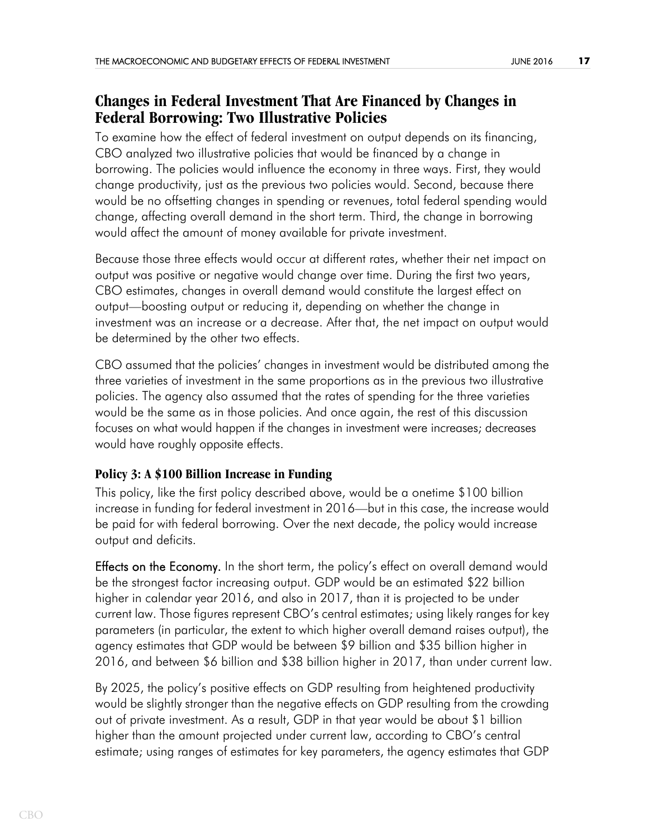# **Changes in Federal Investment That Are Financed by Changes in Federal Borrowing: Two Illustrative Policies**

To examine how the effect of federal investment on output depends on its financing, CBO analyzed two illustrative policies that would be financed by a change in borrowing. The policies would influence the economy in three ways. First, they would change productivity, just as the previous two policies would. Second, because there would be no offsetting changes in spending or revenues, total federal spending would change, affecting overall demand in the short term. Third, the change in borrowing would affect the amount of money available for private investment.

Because those three effects would occur at different rates, whether their net impact on output was positive or negative would change over time. During the first two years, CBO estimates, changes in overall demand would constitute the largest effect on output—boosting output or reducing it, depending on whether the change in investment was an increase or a decrease. After that, the net impact on output would be determined by the other two effects.

CBO assumed that the policies' changes in investment would be distributed among the three varieties of investment in the same proportions as in the previous two illustrative policies. The agency also assumed that the rates of spending for the three varieties would be the same as in those policies. And once again, the rest of this discussion focuses on what would happen if the changes in investment were increases; decreases would have roughly opposite effects.

### **Policy 3: A \$100 Billion Increase in Funding**

This policy, like the first policy described above, would be a onetime \$100 billion increase in funding for federal investment in 2016—but in this case, the increase would be paid for with federal borrowing. Over the next decade, the policy would increase output and deficits.

**Effects on the Economy.** In the short term, the policy's effect on overall demand would be the strongest factor increasing output. GDP would be an estimated \$22 billion higher in calendar year 2016, and also in 2017, than it is projected to be under current law. Those figures represent CBO's central estimates; using likely ranges for key parameters (in particular, the extent to which higher overall demand raises output), the agency estimates that GDP would be between \$9 billion and \$35 billion higher in 2016, and between \$6 billion and \$38 billion higher in 2017, than under current law.

By 2025, the policy's positive effects on GDP resulting from heightened productivity would be slightly stronger than the negative effects on GDP resulting from the crowding out of private investment. As a result, GDP in that year would be about \$1 billion higher than the amount projected under current law, according to CBO's central estimate; using ranges of estimates for key parameters, the agency estimates that GDP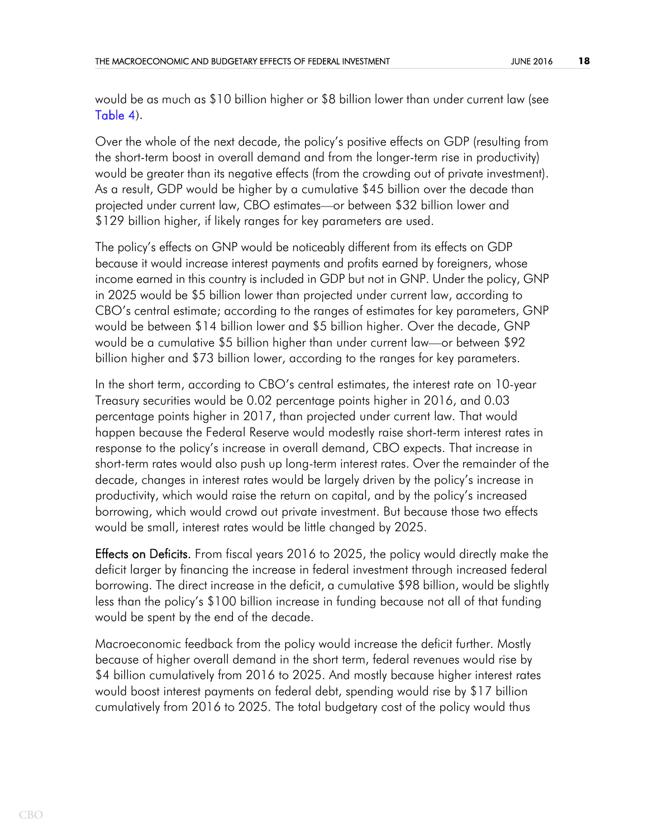<span id="page-17-0"></span>would be as much as \$10 billion higher or \$8 billion lower than under current law (see [Table 4](#page-29-0)).

Over the whole of the next decade, the policy's positive effects on GDP (resulting from the short-term boost in overall demand and from the longer-term rise in productivity) would be greater than its negative effects (from the crowding out of private investment). As a result, GDP would be higher by a cumulative \$45 billion over the decade than projected under current law, CBO estimates—or between \$32 billion lower and \$129 billion higher, if likely ranges for key parameters are used.

The policy's effects on GNP would be noticeably different from its effects on GDP because it would increase interest payments and profits earned by foreigners, whose income earned in this country is included in GDP but not in GNP. Under the policy, GNP in 2025 would be \$5 billion lower than projected under current law, according to CBO's central estimate; according to the ranges of estimates for key parameters, GNP would be between \$14 billion lower and \$5 billion higher. Over the decade, GNP would be a cumulative \$5 billion higher than under current law—or between \$92 billion higher and \$73 billion lower, according to the ranges for key parameters.

In the short term, according to CBO's central estimates, the interest rate on 10-year Treasury securities would be 0.02 percentage points higher in 2016, and 0.03 percentage points higher in 2017, than projected under current law. That would happen because the Federal Reserve would modestly raise short-term interest rates in response to the policy's increase in overall demand, CBO expects. That increase in short-term rates would also push up long-term interest rates. Over the remainder of the decade, changes in interest rates would be largely driven by the policy's increase in productivity, which would raise the return on capital, and by the policy's increased borrowing, which would crowd out private investment. But because those two effects would be small, interest rates would be little changed by 2025.

**Effects on Deficits.** From fiscal years 2016 to 2025, the policy would directly make the deficit larger by financing the increase in federal investment through increased federal borrowing. The direct increase in the deficit, a cumulative \$98 billion, would be slightly less than the policy's \$100 billion increase in funding because not all of that funding would be spent by the end of the decade.

Macroeconomic feedback from the policy would increase the deficit further. Mostly because of higher overall demand in the short term, federal revenues would rise by \$4 billion cumulatively from 2016 to 2025. And mostly because higher interest rates would boost interest payments on federal debt, spending would rise by \$17 billion cumulatively from 2016 to 2025. The total budgetary cost of the policy would thus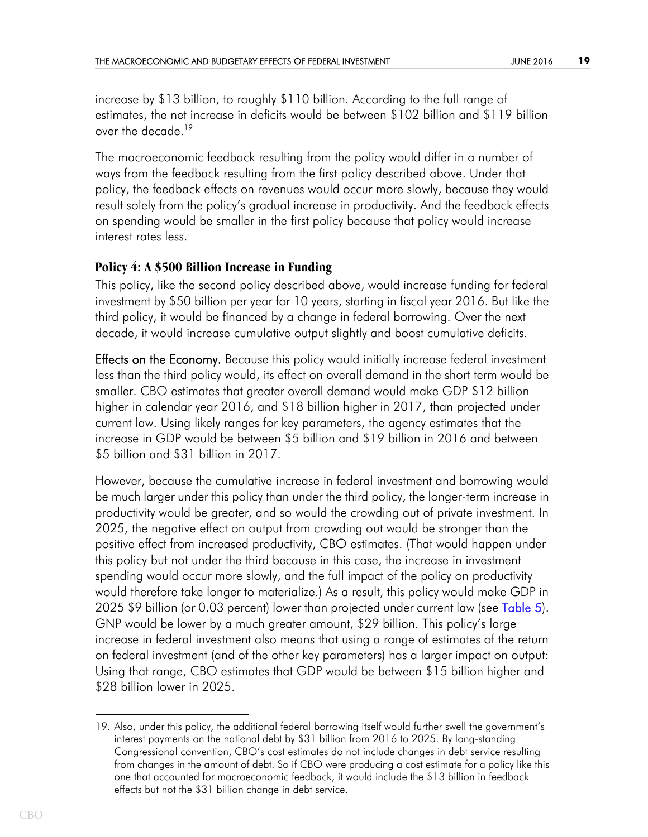increase by \$13 billion, to roughly \$110 billion. According to the full range of estimates, the net increase in deficits would be between \$102 billion and \$119 billion over the decade.<sup>19</sup>

The macroeconomic feedback resulting from the policy would differ in a number of ways from the feedback resulting from the first policy described above. Under that policy, the feedback effects on revenues would occur more slowly, because they would result solely from the policy's gradual increase in productivity. And the feedback effects on spending would be smaller in the first policy because that policy would increase interest rates less.

## **Policy 4: A \$500 Billion Increase in Funding**

This policy, like the second policy described above, would increase funding for federal investment by \$50 billion per year for 10 years, starting in fiscal year 2016. But like the third policy, it would be financed by a change in federal borrowing. Over the next decade, it would increase cumulative output slightly and boost cumulative deficits.

**Effects on the Economy.** Because this policy would initially increase federal investment less than the third policy would, its effect on overall demand in the short term would be smaller. CBO estimates that greater overall demand would make GDP \$12 billion higher in calendar year 2016, and \$18 billion higher in 2017, than projected under current law. Using likely ranges for key parameters, the agency estimates that the increase in GDP would be between \$5 billion and \$19 billion in 2016 and between \$5 billion and \$31 billion in 2017.

<span id="page-18-0"></span>However, because the cumulative increase in federal investment and borrowing would be much larger under this policy than under the third policy, the longer-term increase in productivity would be greater, and so would the crowding out of private investment. In 2025, the negative effect on output from crowding out would be stronger than the positive effect from increased productivity, CBO estimates. (That would happen under this policy but not under the third because in this case, the increase in investment spending would occur more slowly, and the full impact of the policy on productivity would therefore take longer to materialize.) As a result, this policy would make GDP in 2025 \$9 billion (or 0.03 percent) lower than projected under current law (see [Table 5](#page-30-0)). GNP would be lower by a much greater amount, \$29 billion. This policy's large increase in federal investment also means that using a range of estimates of the return on federal investment (and of the other key parameters) has a larger impact on output: Using that range, CBO estimates that GDP would be between \$15 billion higher and \$28 billion lower in 2025.

<sup>19.</sup> Also, under this policy, the additional federal borrowing itself would further swell the government's interest payments on the national debt by \$31 billion from 2016 to 2025. By long-standing Congressional convention, CBO's cost estimates do not include changes in debt service resulting from changes in the amount of debt. So if CBO were producing a cost estimate for a policy like this one that accounted for macroeconomic feedback, it would include the \$13 billion in feedback effects but not the \$31 billion change in debt service.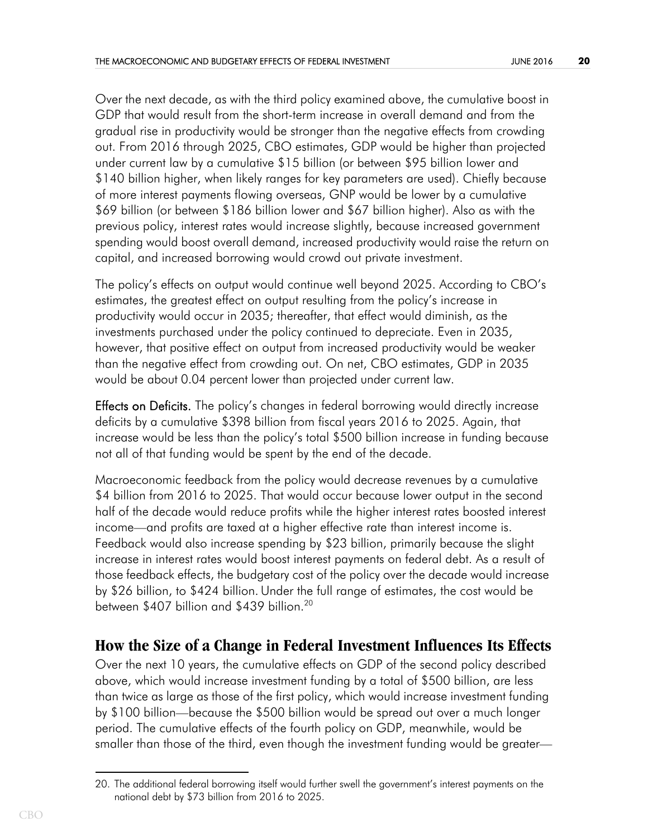Over the next decade, as with the third policy examined above, the cumulative boost in GDP that would result from the short-term increase in overall demand and from the gradual rise in productivity would be stronger than the negative effects from crowding out. From 2016 through 2025, CBO estimates, GDP would be higher than projected under current law by a cumulative \$15 billion (or between \$95 billion lower and \$140 billion higher, when likely ranges for key parameters are used). Chiefly because of more interest payments flowing overseas, GNP would be lower by a cumulative \$69 billion (or between \$186 billion lower and \$67 billion higher). Also as with the previous policy, interest rates would increase slightly, because increased government spending would boost overall demand, increased productivity would raise the return on capital, and increased borrowing would crowd out private investment.

The policy's effects on output would continue well beyond 2025. According to CBO's estimates, the greatest effect on output resulting from the policy's increase in productivity would occur in 2035; thereafter, that effect would diminish, as the investments purchased under the policy continued to depreciate. Even in 2035, however, that positive effect on output from increased productivity would be weaker than the negative effect from crowding out. On net, CBO estimates, GDP in 2035 would be about 0.04 percent lower than projected under current law.

**Effects on Deficits.** The policy's changes in federal borrowing would directly increase deficits by a cumulative \$398 billion from fiscal years 2016 to 2025. Again, that increase would be less than the policy's total \$500 billion increase in funding because not all of that funding would be spent by the end of the decade.

Macroeconomic feedback from the policy would decrease revenues by a cumulative \$4 billion from 2016 to 2025. That would occur because lower output in the second half of the decade would reduce profits while the higher interest rates boosted interest income—and profits are taxed at a higher effective rate than interest income is. Feedback would also increase spending by \$23 billion, primarily because the slight increase in interest rates would boost interest payments on federal debt. As a result of those feedback effects, the budgetary cost of the policy over the decade would increase by \$26 billion, to \$424 billion. Under the full range of estimates, the cost would be between \$407 billion and \$439 billion.<sup>20</sup>

# **How the Size of a Change in Federal Investment Influences Its Effects**

Over the next 10 years, the cumulative effects on GDP of the second policy described above, which would increase investment funding by a total of \$500 billion, are less than twice as large as those of the first policy, which would increase investment funding by \$100 billion—because the \$500 billion would be spread out over a much longer period. The cumulative effects of the fourth policy on GDP, meanwhile, would be smaller than those of the third, even though the investment funding would be greater—

<sup>20.</sup> The additional federal borrowing itself would further swell the government's interest payments on the national debt by \$73 billion from 2016 to 2025.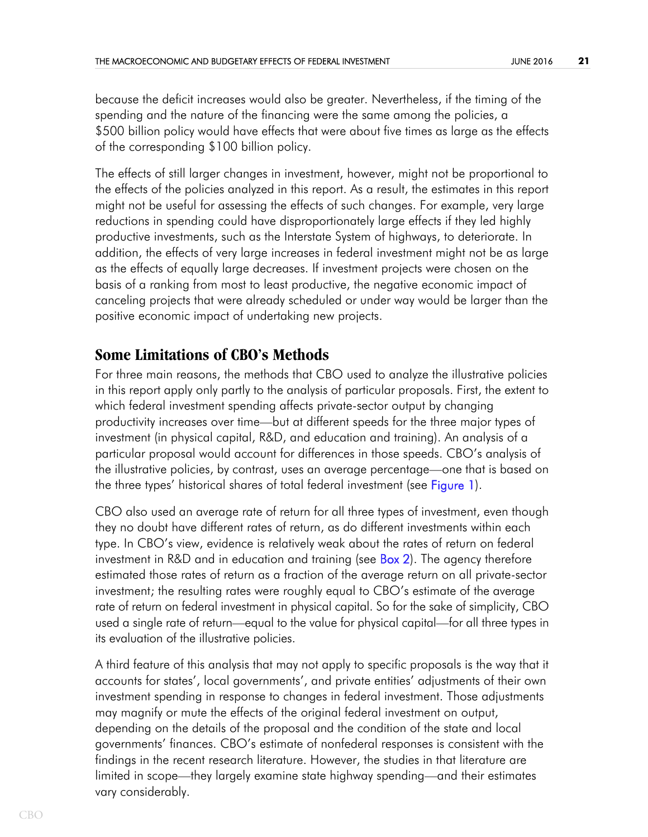because the deficit increases would also be greater. Nevertheless, if the timing of the spending and the nature of the financing were the same among the policies, a \$500 billion policy would have effects that were about five times as large as the effects of the corresponding \$100 billion policy.

The effects of still larger changes in investment, however, might not be proportional to the effects of the policies analyzed in this report. As a result, the estimates in this report might not be useful for assessing the effects of such changes. For example, very large reductions in spending could have disproportionately large effects if they led highly productive investments, such as the Interstate System of highways, to deteriorate. In addition, the effects of very large increases in federal investment might not be as large as the effects of equally large decreases. If investment projects were chosen on the basis of a ranking from most to least productive, the negative economic impact of canceling projects that were already scheduled or under way would be larger than the positive economic impact of undertaking new projects.

## **Some Limitations of CBO's Methods**

For three main reasons, the methods that CBO used to analyze the illustrative policies in this report apply only partly to the analysis of particular proposals. First, the extent to which federal investment spending affects private-sector output by changing productivity increases over time—but at different speeds for the three major types of investment (in physical capital, R&D, and education and training). An analysis of a particular proposal would account for differences in those speeds. CBO's analysis of the illustrative policies, by contrast, uses an average percentage—one that is based on the three types' historical shares of total federal investment (see [Figure 1](#page-25-0)).

<span id="page-20-1"></span><span id="page-20-0"></span>CBO also used an average rate of return for all three types of investment, even though they no doubt have different rates of return, as do different investments within each type. In CBO's view, evidence is relatively weak about the rates of return on federal investment in R&D and in education and training (see [Box 2\)](#page-23-0). The agency therefore estimated those rates of return as a fraction of the average return on all private-sector investment; the resulting rates were roughly equal to CBO's estimate of the average rate of return on federal investment in physical capital. So for the sake of simplicity, CBO used a single rate of return—equal to the value for physical capital—for all three types in its evaluation of the illustrative policies.

A third feature of this analysis that may not apply to specific proposals is the way that it accounts for states', local governments', and private entities' adjustments of their own investment spending in response to changes in federal investment. Those adjustments may magnify or mute the effects of the original federal investment on output, depending on the details of the proposal and the condition of the state and local governments' finances. CBO's estimate of nonfederal responses is consistent with the findings in the recent research literature. However, the studies in that literature are limited in scope—they largely examine state highway spending—and their estimates vary considerably.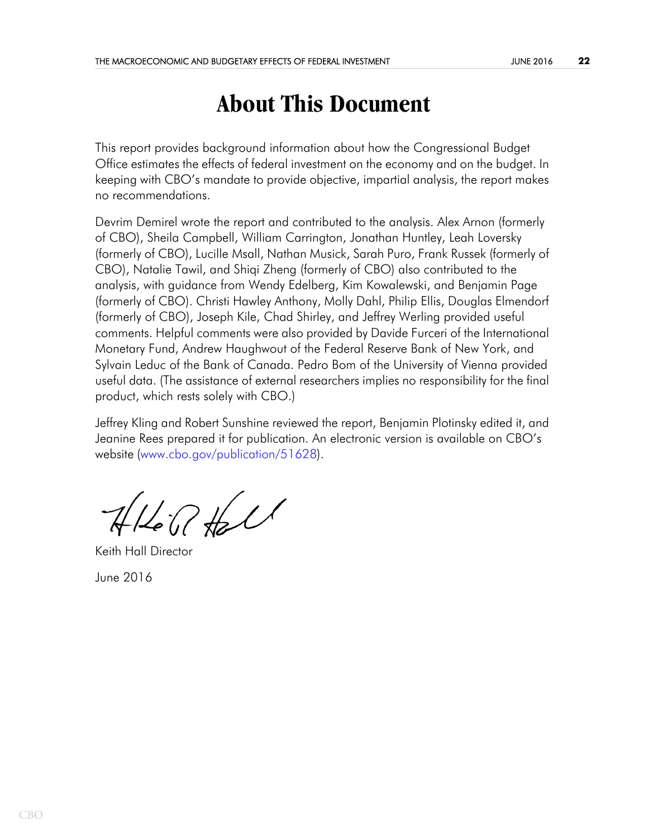# **About This Document**

This report provides background information about how the Congressional Budget Office estimates the effects of federal investment on the economy and on the budget. In keeping with CBO's mandate to provide objective, impartial analysis, the report makes no recommendations.

Devrim Demirel wrote the report and contributed to the analysis. Alex Arnon (formerly of CBO), Sheila Campbell, William Carrington, Jonathan Huntley, Leah Loversky (formerly of CBO), Lucille Msall, Nathan Musick, Sarah Puro, Frank Russek (formerly of CBO), Natalie Tawil, and Shiqi Zheng (formerly of CBO) also contributed to the analysis, with guidance from Wendy Edelberg, Kim Kowalewski, and Benjamin Page (formerly of CBO). Christi Hawley Anthony, Molly Dahl, Philip Ellis, Douglas Elmendorf (formerly of CBO), Joseph Kile, Chad Shirley, and Jeffrey Werling provided useful comments. Helpful comments were also provided by Davide Furceri of the International Monetary Fund, Andrew Haughwout of the Federal Reserve Bank of New York, and Sylvain Leduc of the Bank of Canada. Pedro Bom of the University of Vienna provided useful data. (The assistance of external researchers implies no responsibility for the final product, which rests solely with CBO.)

Jeffrey Kling and Robert Sunshine reviewed the report, Benjamin Plotinsky edited it, and Jeanine Rees prepared it for publication. An electronic version is available on CBO's website ([www.cbo.gov/publication/51628\)](http://www.cbo.gov/publication/51628).

 $7160$ 

Keith Hall Director

June 2016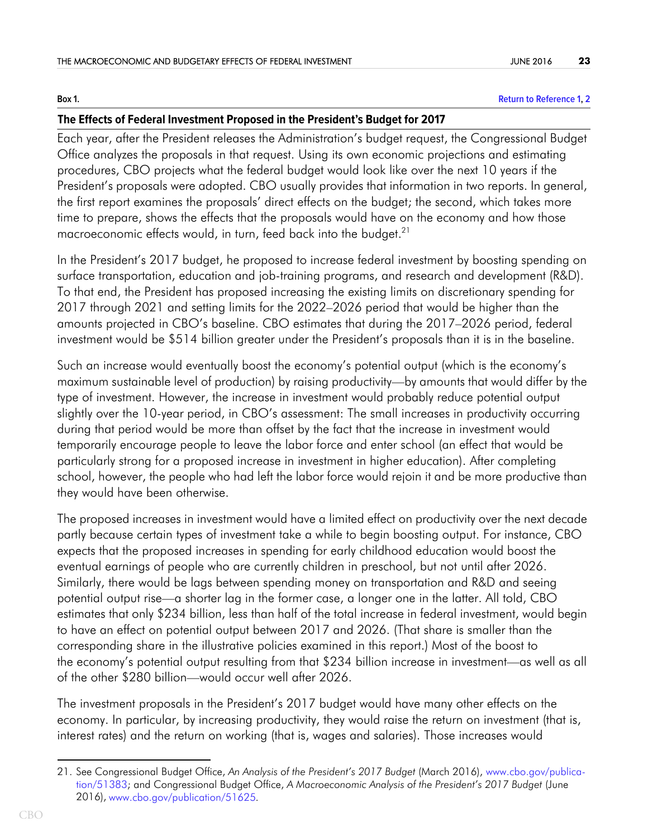$Row 1$ 

### <span id="page-22-0"></span>**Return to Reference 1.2 Box 1. [Return to Reference 1,](#page-5-0) [2](#page-12-0)**

### **The Effects of Federal Investment Proposed in the President's Budget for 2017**

Each year, after the President releases the Administration's budget request, the Congressional Budget Office analyzes the proposals in that request. Using its own economic projections and estimating procedures, CBO projects what the federal budget would look like over the next 10 years if the President's proposals were adopted. CBO usually provides that information in two reports. In general, the first report examines the proposals' direct effects on the budget; the second, which takes more time to prepare, shows the effects that the proposals would have on the economy and how those macroeconomic effects would, in turn, feed back into the budget.<sup>21</sup>

In the President's 2017 budget, he proposed to increase federal investment by boosting spending on surface transportation, education and job-training programs, and research and development (R&D). To that end, the President has proposed increasing the existing limits on discretionary spending for 2017 through 2021 and setting limits for the 2022–2026 period that would be higher than the amounts projected in CBO's baseline. CBO estimates that during the 2017–2026 period, federal investment would be \$514 billion greater under the President's proposals than it is in the baseline.

Such an increase would eventually boost the economy's potential output (which is the economy's maximum sustainable level of production) by raising productivity—by amounts that would differ by the type of investment. However, the increase in investment would probably reduce potential output slightly over the 10-year period, in CBO's assessment: The small increases in productivity occurring during that period would be more than offset by the fact that the increase in investment would temporarily encourage people to leave the labor force and enter school (an effect that would be particularly strong for a proposed increase in investment in higher education). After completing school, however, the people who had left the labor force would rejoin it and be more productive than they would have been otherwise.

The proposed increases in investment would have a limited effect on productivity over the next decade partly because certain types of investment take a while to begin boosting output. For instance, CBO expects that the proposed increases in spending for early childhood education would boost the eventual earnings of people who are currently children in preschool, but not until after 2026. Similarly, there would be lags between spending money on transportation and R&D and seeing potential output rise—a shorter lag in the former case, a longer one in the latter. All told, CBO estimates that only \$234 billion, less than half of the total increase in federal investment, would begin to have an effect on potential output between 2017 and 2026. (That share is smaller than the corresponding share in the illustrative policies examined in this report.) Most of the boost to the economy's potential output resulting from that \$234 billion increase in investment—as well as all of the other \$280 billion—would occur well after 2026.

The investment proposals in the President's 2017 budget would have many other effects on the economy. In particular, by increasing productivity, they would raise the return on investment (that is, interest rates) and the return on working (that is, wages and salaries). Those increases would

<sup>21.</sup> See Congressional Budget Office, *An Analysis of the President's 2017 Budget* (March 2016), [www.cbo.gov/publica](https://www.cbo.gov/publication/51383)[tion/51383](https://www.cbo.gov/publication/51383); and Congressional Budget Office, *A Macroeconomic Analysis of the President's 2017 Budget* (June 2016), [www.cbo.gov/publication/51625](http://www.cbo.gov/publication/51625).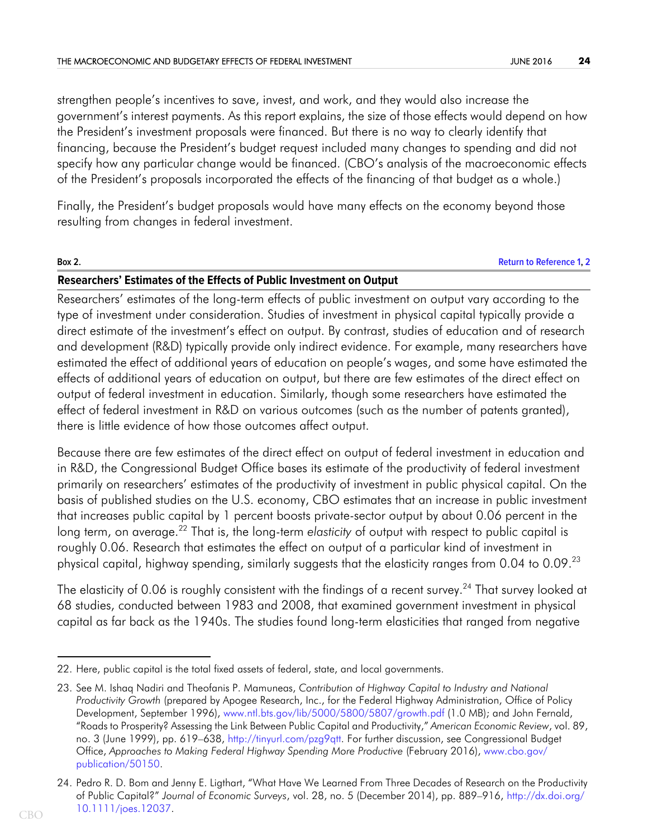strengthen people's incentives to save, invest, and work, and they would also increase the government's interest payments. As this report explains, the size of those effects would depend on how the President's investment proposals were financed. But there is no way to clearly identify that financing, because the President's budget request included many changes to spending and did not specify how any particular change would be financed. (CBO's analysis of the macroeconomic effects of the President's proposals incorporated the effects of the financing of that budget as a whole.)

Finally, the President's budget proposals would have many effects on the economy beyond those resulting from changes in federal investment.

### <span id="page-23-0"></span>**Box 2. [Return to Reference 1,](#page-6-0) [2](#page-20-0) Researchers' Estimates of the Effects of Public Investment on Output**

Researchers' estimates of the long-term effects of public investment on output vary according to the type of investment under consideration. Studies of investment in physical capital typically provide a direct estimate of the investment's effect on output. By contrast, studies of education and of research and development (R&D) typically provide only indirect evidence. For example, many researchers have estimated the effect of additional years of education on people's wages, and some have estimated the effects of additional years of education on output, but there are few estimates of the direct effect on output of federal investment in education. Similarly, though some researchers have estimated the effect of federal investment in R&D on various outcomes (such as the number of patents granted), there is little evidence of how those outcomes affect output.

Because there are few estimates of the direct effect on output of federal investment in education and in R&D, the Congressional Budget Office bases its estimate of the productivity of federal investment primarily on researchers' estimates of the productivity of investment in public physical capital. On the basis of published studies on the U.S. economy, CBO estimates that an increase in public investment that increases public capital by 1 percent boosts private-sector output by about 0.06 percent in the long term, on average.<sup>22</sup> That is, the long-term *elasticity* of output with respect to public capital is roughly 0.06. Research that estimates the effect on output of a particular kind of investment in physical capital, highway spending, similarly suggests that the elasticity ranges from 0.04 to 0.09.<sup>23</sup>

The elasticity of 0.06 is roughly consistent with the findings of a recent survey.<sup>24</sup> That survey looked at 68 studies, conducted between 1983 and 2008, that examined government investment in physical capital as far back as the 1940s. The studies found long-term elasticities that ranged from negative

<sup>22.</sup> Here, public capital is the total fixed assets of federal, state, and local governments.

<sup>23.</sup> See M. Ishaq Nadiri and Theofanis P. Mamuneas, *Contribution of Highway Capital to Industry and National Productivity Growth* (prepared by Apogee Research, Inc., for the Federal Highway Administration, Office of Policy Development, September 1996), [www.ntl.bts.gov/lib/5000/5800/5807/growth.pdf](http://www.ntl.bts.gov/lib/5000/5800/5807/growth.pdf) (1.0 MB); and John Fernald, "Roads to Prosperity? Assessing the Link Between Public Capital and Productivity," *American Economic Review*, vol. 89, no. 3 (June 1999), pp. 619–638,<http://tinyurl.com/pzg9qtt>. For further discussion, see Congressional Budget Office, *Approaches to Making Federal Highway Spending More Productive* (February 2016), [www.cbo.gov/](http://www.cbo.gov/publication/50150) [publication/50150](http://www.cbo.gov/publication/50150).

<sup>24.</sup> Pedro R. D. Bom and Jenny E. Ligthart, "What Have We Learned From Three Decades of Research on the Productivity of Public Capital?" *Journal of Economic Surveys*, vol. 28, no. 5 (December 2014), pp. 889–916, [http://dx.doi.org/](http://dx.doi.org/10.1111/joes.12037) [10.1111/joes.12037.](http://dx.doi.org/10.1111/joes.12037)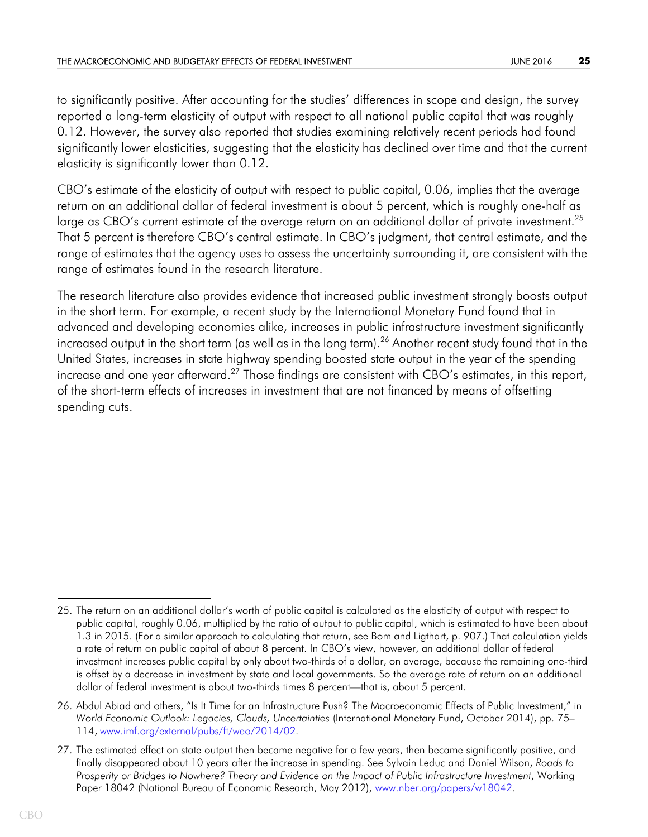to significantly positive. After accounting for the studies' differences in scope and design, the survey reported a long-term elasticity of output with respect to all national public capital that was roughly 0.12. However, the survey also reported that studies examining relatively recent periods had found significantly lower elasticities, suggesting that the elasticity has declined over time and that the current elasticity is significantly lower than 0.12.

CBO's estimate of the elasticity of output with respect to public capital, 0.06, implies that the average return on an additional dollar of federal investment is about 5 percent, which is roughly one-half as large as CBO's current estimate of the average return on an additional dollar of private investment.<sup>25</sup> That 5 percent is therefore CBO's central estimate. In CBO's judgment, that central estimate, and the range of estimates that the agency uses to assess the uncertainty surrounding it, are consistent with the range of estimates found in the research literature.

The research literature also provides evidence that increased public investment strongly boosts output in the short term. For example, a recent study by the International Monetary Fund found that in advanced and developing economies alike, increases in public infrastructure investment significantly increased output in the short term (as well as in the long term).<sup>26</sup> Another recent study found that in the United States, increases in state highway spending boosted state output in the year of the spending increase and one year afterward.<sup>27</sup> Those findings are consistent with CBO's estimates, in this report, of the short-term effects of increases in investment that are not financed by means of offsetting spending cuts.

<sup>25.</sup> The return on an additional dollar's worth of public capital is calculated as the elasticity of output with respect to public capital, roughly 0.06, multiplied by the ratio of output to public capital, which is estimated to have been about 1.3 in 2015. (For a similar approach to calculating that return, see Bom and Ligthart, p. 907.) That calculation yields a rate of return on public capital of about 8 percent. In CBO's view, however, an additional dollar of federal investment increases public capital by only about two-thirds of a dollar, on average, because the remaining one-third is offset by a decrease in investment by state and local governments. So the average rate of return on an additional dollar of federal investment is about two-thirds times 8 percent—that is, about 5 percent.

<sup>26.</sup> Abdul Abiad and others, "Is It Time for an Infrastructure Push? The Macroeconomic Effects of Public Investment," in *World Economic Outlook: Legacies, Clouds, Uncertainties* (International Monetary Fund, October 2014), pp. 75– 114, [www.imf.org/external/pubs/ft/weo/2014/02](http://www.imf.org/external/pubs/ft/weo/2014/02/).

<sup>27.</sup> The estimated effect on state output then became negative for a few years, then became significantly positive, and finally disappeared about 10 years after the increase in spending. See Sylvain Leduc and Daniel Wilson, *Roads to Prosperity or Bridges to Nowhere? Theory and Evidence on the Impact of Public Infrastructure Investment*, Working Paper 18042 (National Bureau of Economic Research, May 2012), [www.nber.org/papers/w18042](http://www.nber.org/papers/w18042).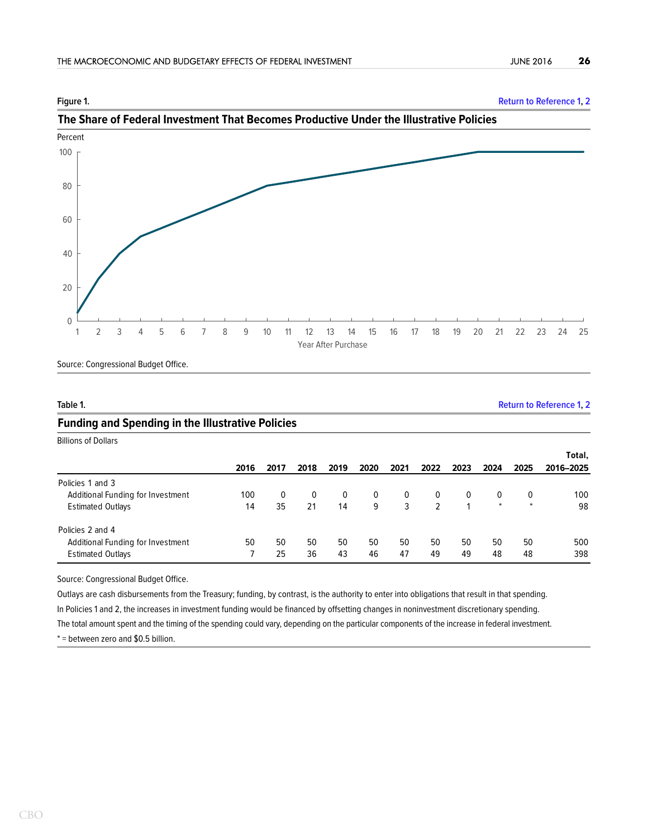<span id="page-25-0"></span>

**Figure 1. [Return to Reference 1,](#page-8-0) [2](#page-20-1)**



Source: Congressional Budget Office.

<span id="page-25-1"></span>**Table 1. [Return to Reference 1,](#page-13-0) [2](#page-14-0)**

### **Funding and Spending in the Illustrative Policies**

Billions of Dollars

|                                   |      |      |      |          |          |          |      |      |        |          | Total,    |
|-----------------------------------|------|------|------|----------|----------|----------|------|------|--------|----------|-----------|
|                                   | 2016 | 2017 | 2018 | 2019     | 2020     | 2021     | 2022 | 2023 | 2024   | 2025     | 2016-2025 |
| Policies 1 and 3                  |      |      |      |          |          |          |      |      |        |          |           |
| Additional Funding for Investment | 100  | 0    | 0    | $\bf{0}$ | $\Omega$ | $\Omega$ | 0    | 0    | 0      | $\bf{0}$ | 100       |
| <b>Estimated Outlays</b>          | 14   | 35   | 21   | 14       | 9        | 3        |      |      | $\ast$ | $\ast$   | 98        |
| Policies 2 and 4                  |      |      |      |          |          |          |      |      |        |          |           |
| Additional Funding for Investment | 50   | 50   | 50   | 50       | 50       | 50       | 50   | 50   | 50     | 50       | 500       |
| <b>Estimated Outlays</b>          |      | 25   | 36   | 43       | 46       | 47       | 49   | 49   | 48     | 48       | 398       |

Source: Congressional Budget Office.

Outlays are cash disbursements from the Treasury; funding, by contrast, is the authority to enter into obligations that result in that spending. In Policies 1 and 2, the increases in investment funding would be financed by offsetting changes in noninvestment discretionary spending. The total amount spent and the timing of the spending could vary, depending on the particular components of the increase in federal investment.

\* = between zero and \$0.5 billion.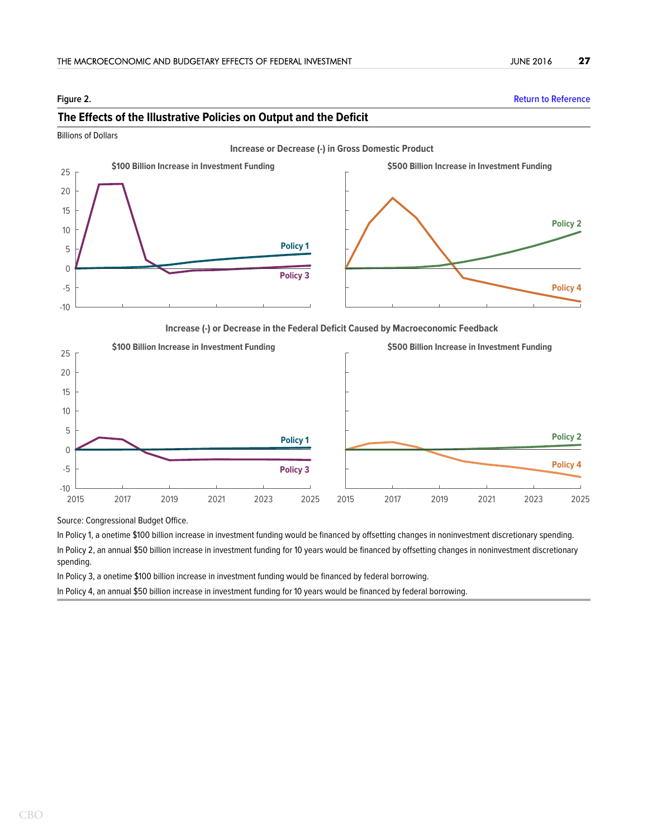Billions of Dollars

### -10 -5 0 5 10 15 20 25 **Policy 3 Policy 1 Policy 4 Policy 2 Increase or Decrease (-) in Gross Domestic Product \$100 Billion Increase in Investment Funding \$500 Billion Increase in Investment Funding**

### <span id="page-26-0"></span>**Figure 2. [Return to Reference](#page-13-1) The Effects of the Illustrative Policies on Output and the Deficit**

**Increase (-) or Decrease in the Federal Deficit Caused by Macroeconomic Feedback**



Source: Congressional Budget Office.

In Policy 1, a onetime \$100 billion increase in investment funding would be financed by offsetting changes in noninvestment discretionary spending.

In Policy 2, an annual \$50 billion increase in investment funding for 10 years would be financed by offsetting changes in noninvestment discretionary spending.

In Policy 3, a onetime \$100 billion increase in investment funding would be financed by federal borrowing.

In Policy 4, an annual \$50 billion increase in investment funding for 10 years would be financed by federal borrowing.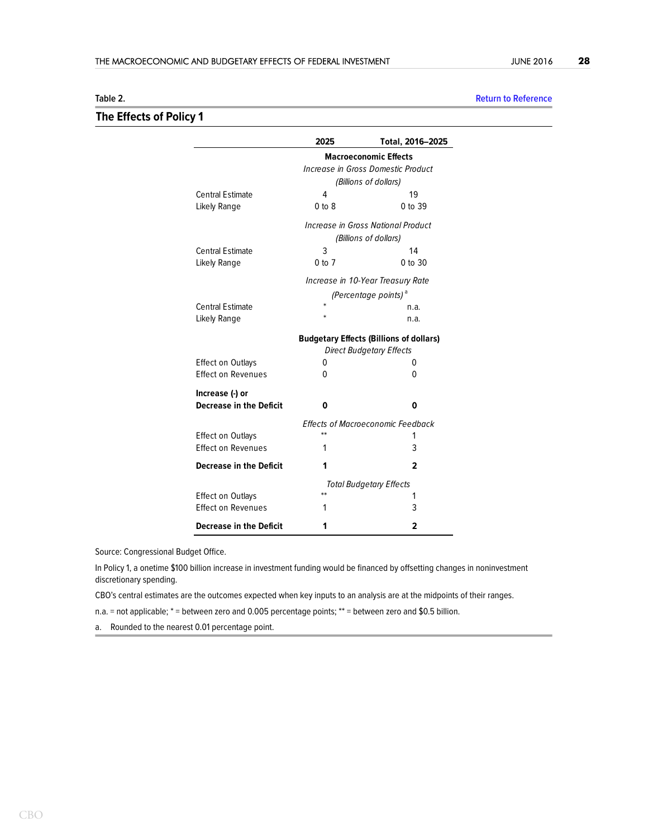### **The Effects of Policy 1**

<span id="page-27-0"></span>

| Table 2. | <b>Return to Reference</b> |
|----------|----------------------------|
|          |                            |
|          |                            |

|                                | 2025                                           | Total, 2016-2025                         |  |  |
|--------------------------------|------------------------------------------------|------------------------------------------|--|--|
|                                | <b>Macroeconomic Effects</b>                   |                                          |  |  |
|                                | Increase in Gross Domestic Product             |                                          |  |  |
|                                | (Billions of dollars)                          |                                          |  |  |
| <b>Central Estimate</b>        | 4                                              | 19                                       |  |  |
| Likely Range                   | $0 \text{ to } 8$                              | 0 to 39                                  |  |  |
|                                |                                                | Increase in Gross National Product       |  |  |
|                                |                                                | (Billions of dollars)                    |  |  |
| <b>Central Estimate</b>        | 3                                              | 14                                       |  |  |
| Likely Range                   | $0$ to $7$                                     | 0 to 30                                  |  |  |
|                                | Increase in 10-Year Treasury Rate              |                                          |  |  |
|                                |                                                | (Percentage points) <sup>a</sup>         |  |  |
| <b>Central Estimate</b>        | ÷                                              | n.a.                                     |  |  |
| Likely Range                   | ×.                                             | n.a.                                     |  |  |
|                                | <b>Budgetary Effects (Billions of dollars)</b> |                                          |  |  |
|                                |                                                | <b>Direct Budgetary Effects</b>          |  |  |
| <b>Effect on Outlays</b>       | 0                                              | 0                                        |  |  |
| <b>Effect on Revenues</b>      | U                                              | 0                                        |  |  |
| Increase (-) or                |                                                |                                          |  |  |
| <b>Decrease in the Deficit</b> | 0                                              | 0                                        |  |  |
|                                |                                                | <b>Effects of Macroeconomic Feedback</b> |  |  |
| <b>Effect on Outlays</b>       | $**$                                           | 1                                        |  |  |
| <b>Effect on Revenues</b>      | 1                                              | 3                                        |  |  |
| <b>Decrease in the Deficit</b> | 1                                              | 2                                        |  |  |
|                                | <b>Total Budgetary Effects</b>                 |                                          |  |  |
| <b>Effect on Outlays</b>       | **                                             | 1                                        |  |  |
| <b>Effect on Revenues</b>      | 1                                              | 3                                        |  |  |
| <b>Decrease in the Deficit</b> | 1                                              | 2                                        |  |  |

Source: Congressional Budget Office.

In Policy 1, a onetime \$100 billion increase in investment funding would be financed by offsetting changes in noninvestment discretionary spending.

CBO's central estimates are the outcomes expected when key inputs to an analysis are at the midpoints of their ranges.

n.a. = not applicable; \* = between zero and 0.005 percentage points; \*\* = between zero and \$0.5 billion.

a. Rounded to the nearest 0.01 percentage point.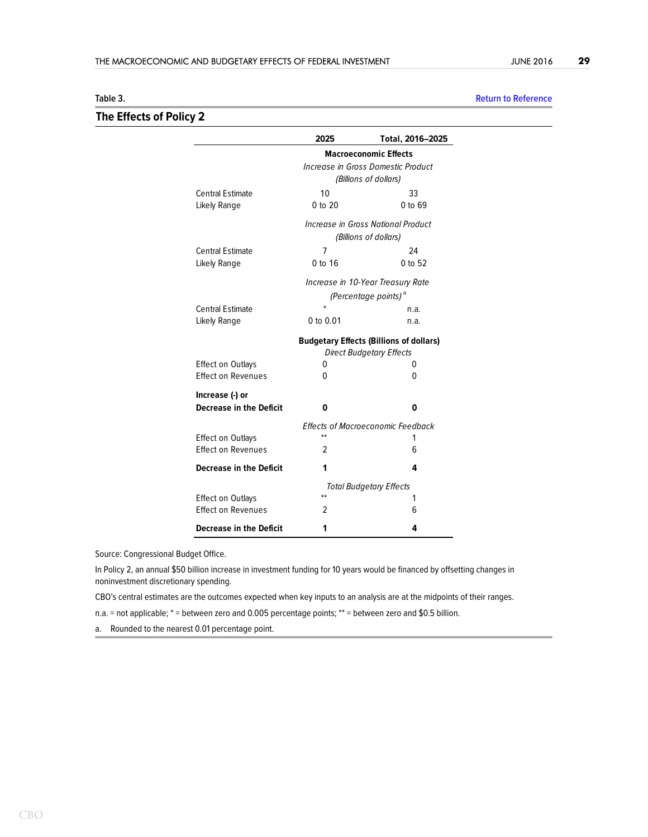### **The Effects of Policy 2**

# <span id="page-28-0"></span>**Table 3. [Return to Reference](#page-15-0)**

|                                | 2025                                                                              | Total, 2016-2025                   |  |  |
|--------------------------------|-----------------------------------------------------------------------------------|------------------------------------|--|--|
|                                | <b>Macroeconomic Effects</b>                                                      |                                    |  |  |
|                                | Increase in Gross Domestic Product                                                |                                    |  |  |
|                                | (Billions of dollars)                                                             |                                    |  |  |
| <b>Central Estimate</b>        | 10                                                                                | 33                                 |  |  |
| Likely Range                   | 0 to 20                                                                           | 0 to 69                            |  |  |
|                                |                                                                                   | Increase in Gross National Product |  |  |
|                                |                                                                                   | (Billions of dollars)              |  |  |
| <b>Central Estimate</b>        | 7                                                                                 | 24                                 |  |  |
| Likely Range                   | 0 to 16                                                                           | 0 to 52                            |  |  |
|                                |                                                                                   | Increase in 10-Year Treasury Rate  |  |  |
|                                |                                                                                   | (Percentage points) <sup>a</sup>   |  |  |
| <b>Central Estimate</b>        |                                                                                   | n.a.                               |  |  |
| Likely Range                   | 0 to $0.01$                                                                       | n.a.                               |  |  |
|                                | <b>Budgetary Effects (Billions of dollars)</b><br><b>Direct Budgetary Effects</b> |                                    |  |  |
| <b>Effect on Outlays</b>       | 0                                                                                 | 0                                  |  |  |
| <b>Effect on Revenues</b>      | 0                                                                                 | 0                                  |  |  |
| Increase (-) or                |                                                                                   |                                    |  |  |
| <b>Decrease in the Deficit</b> | 0                                                                                 | 0                                  |  |  |
|                                | <b>Effects of Macroeconomic Feedback</b>                                          |                                    |  |  |
| <b>Effect on Outlays</b>       | $**$                                                                              | 1                                  |  |  |
| <b>Effect on Revenues</b>      | $\mathfrak z$                                                                     | 6                                  |  |  |
| <b>Decrease in the Deficit</b> | 1                                                                                 | 4                                  |  |  |
|                                | <b>Total Budgetary Effects</b>                                                    |                                    |  |  |
| <b>Effect on Outlays</b>       | $^{**}$                                                                           | 1                                  |  |  |
| <b>Effect on Revenues</b>      | 2                                                                                 | 6                                  |  |  |
| Decrease in the Deficit        | 1                                                                                 | 4                                  |  |  |

Source: Congressional Budget Office.

In Policy 2, an annual \$50 billion increase in investment funding for 10 years would be financed by offsetting changes in noninvestment discretionary spending.

CBO's central estimates are the outcomes expected when key inputs to an analysis are at the midpoints of their ranges.

n.a. = not applicable; \* = between zero and 0.005 percentage points; \*\* = between zero and \$0.5 billion.

a. Rounded to the nearest 0.01 percentage point.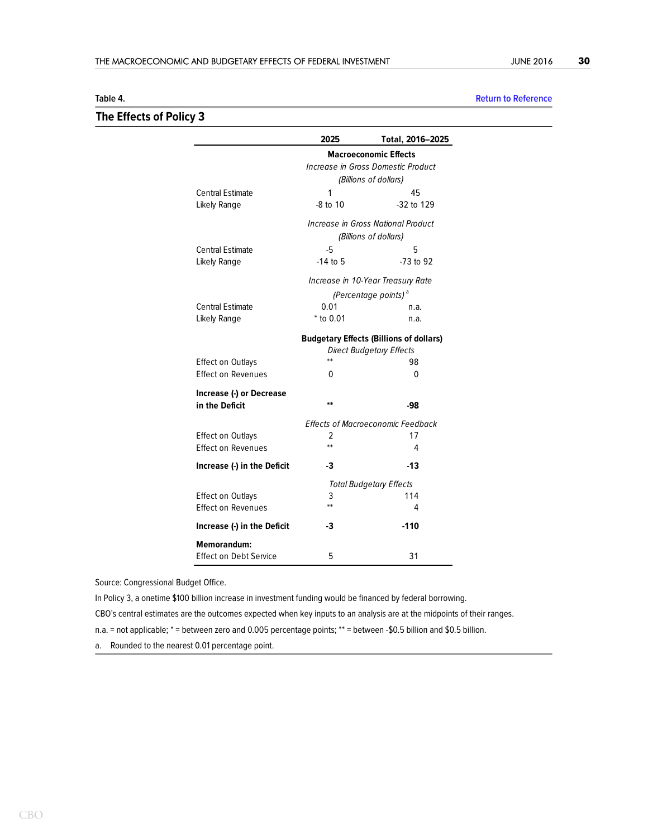### <span id="page-29-0"></span>**Table 4. [Return to Reference](#page-17-0) The Effects of Policy 3**

| <b>Return to Refere</b> |  |  |
|-------------------------|--|--|

|                             | 2025                                      | Total, 2016-2025                               |  |  |
|-----------------------------|-------------------------------------------|------------------------------------------------|--|--|
|                             | <b>Macroeconomic Effects</b>              |                                                |  |  |
|                             | Increase in Gross Domestic Product        |                                                |  |  |
|                             | (Billions of dollars)                     |                                                |  |  |
| <b>Central Estimate</b>     | 1                                         | 45                                             |  |  |
| Likely Range                | $-8$ to 10                                | $-32$ to 129                                   |  |  |
|                             | <b>Increase in Gross National Product</b> |                                                |  |  |
|                             | (Billions of dollars)                     |                                                |  |  |
| <b>Central Estimate</b>     | -5                                        | 5                                              |  |  |
| Likely Range                | $-14$ to 5                                | $-73$ to 92                                    |  |  |
|                             |                                           | Increase in 10-Year Treasury Rate              |  |  |
|                             |                                           | (Percentage points) <sup>a</sup>               |  |  |
| <b>Central Estimate</b>     | 0.01                                      | n.a.                                           |  |  |
| Likely Range                | $*$ to 0.01                               | n.a.                                           |  |  |
|                             |                                           | <b>Budgetary Effects (Billions of dollars)</b> |  |  |
|                             |                                           | <b>Direct Budgetary Effects</b>                |  |  |
| <b>Effect on Outlays</b>    | $**$                                      | 98                                             |  |  |
| <b>Effect on Revenues</b>   | 0                                         | 0                                              |  |  |
| Increase (-) or Decrease    |                                           |                                                |  |  |
| in the Deficit              | $**$                                      | -98                                            |  |  |
|                             |                                           | <b>Effects of Macroeconomic Feedback</b>       |  |  |
| <b>Effect on Outlays</b>    | 2                                         | 17                                             |  |  |
| <b>Effect on Revenues</b>   | $**$                                      | 4                                              |  |  |
| Increase (-) in the Deficit | -3                                        | -13                                            |  |  |
|                             | <b>Total Budgetary Effects</b>            |                                                |  |  |
| <b>Effect on Outlays</b>    | 3                                         | 114                                            |  |  |
| Effect on Revenues          | **                                        | 4                                              |  |  |
| Increase (-) in the Deficit | -3                                        | $-110$                                         |  |  |
| <b>Memorandum:</b>          |                                           |                                                |  |  |
| Effect on Debt Service      | 5                                         | 31                                             |  |  |

Source: Congressional Budget Office.

In Policy 3, a onetime \$100 billion increase in investment funding would be financed by federal borrowing. CBO's central estimates are the outcomes expected when key inputs to an analysis are at the midpoints of their ranges. n.a. = not applicable; \* = between zero and 0.005 percentage points; \*\* = between -\$0.5 billion and \$0.5 billion.

a. Rounded to the nearest 0.01 percentage point.